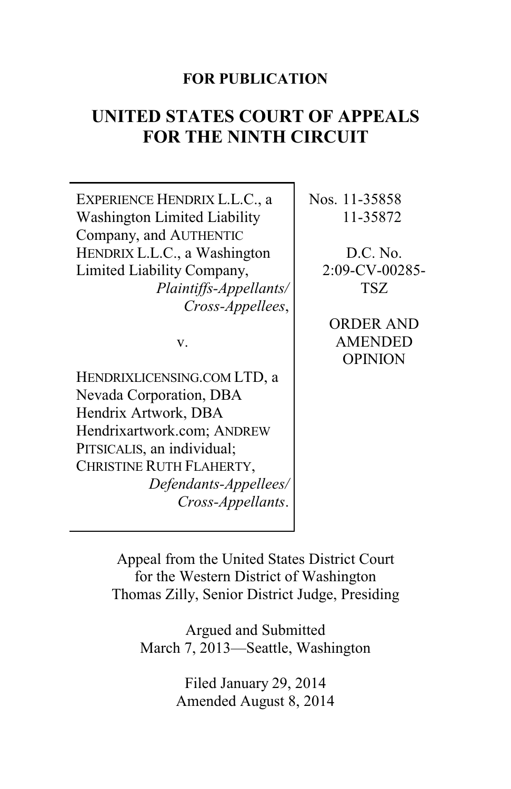# **FOR PUBLICATION**

# **UNITED STATES COURT OF APPEALS FOR THE NINTH CIRCUIT**

| EXPERIENCE HENDRIX L.L.C., a | Nos. 11-35858     |
|------------------------------|-------------------|
| Washington Limited Liability | 11-35872          |
| Company, and AUTHENTIC       |                   |
| HENDRIX L.L.C., a Washington | D.C. No.          |
| Limited Liability Company,   | $2:09$ -CV-00285- |
| Plaintiffs-Appellants/       | TSZ               |
| Cross-Appellees,             |                   |
|                              | ORDER AND         |
| V.                           | <b>AMENDED</b>    |
|                              | <b>OPINION</b>    |
| HENDRIXLICENSING.COM LTD, a  |                   |
| Nevada Corporation, DBA      |                   |
| Hendrix Artwork, DBA         |                   |
| Hendrixartwork.com; ANDREW   |                   |
| PITSICALIS, an individual;   |                   |
| CHRISTINE RUTH FLAHERTY,     |                   |
| Defendants-Appellees/        |                   |
| Cross-Appellants.            |                   |
|                              |                   |

Appeal from the United States District Court for the Western District of Washington Thomas Zilly, Senior District Judge, Presiding

Argued and Submitted March 7, 2013—Seattle, Washington

> Filed January 29, 2014 Amended August 8, 2014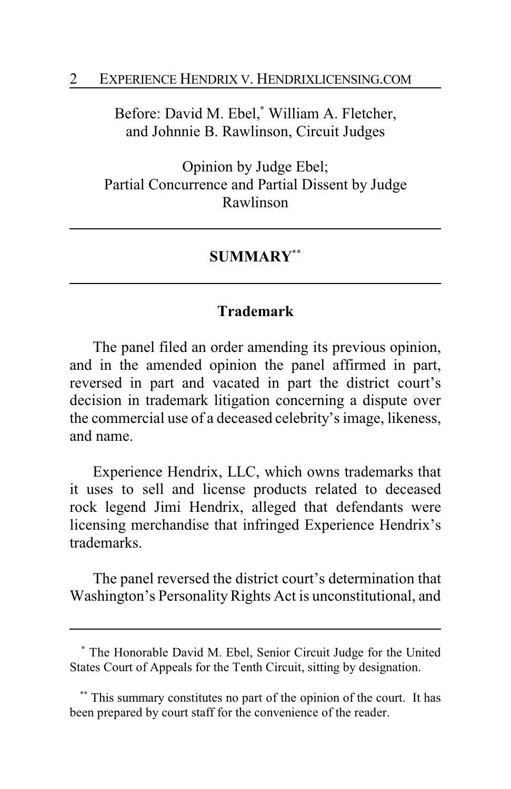#### 2 EXPERIENCE HENDRIX V. HENDRIXLICENSING.COM

Before: David M. Ebel,**\*** William A. Fletcher, and Johnnie B. Rawlinson, Circuit Judges

Opinion by Judge Ebel; Partial Concurrence and Partial Dissent by Judge Rawlinson

#### **SUMMARY\*\***

## **Trademark**

The panel filed an order amending its previous opinion, and in the amended opinion the panel affirmed in part, reversed in part and vacated in part the district court's decision in trademark litigation concerning a dispute over the commercial use of a deceased celebrity's image, likeness, and name.

Experience Hendrix, LLC, which owns trademarks that it uses to sell and license products related to deceased rock legend Jimi Hendrix, alleged that defendants were licensing merchandise that infringed Experience Hendrix's trademarks.

The panel reversed the district court's determination that Washington's Personality Rights Act is unconstitutional, and

**<sup>\*</sup>** The Honorable David M. Ebel, Senior Circuit Judge for the United States Court of Appeals for the Tenth Circuit, sitting by designation.

**<sup>\*\*</sup>** This summary constitutes no part of the opinion of the court. It has been prepared by court staff for the convenience of the reader.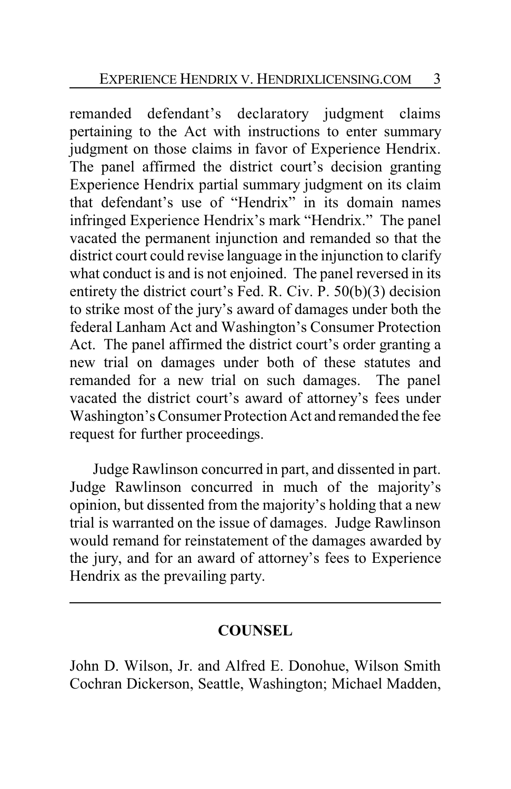remanded defendant's declaratory judgment claims pertaining to the Act with instructions to enter summary judgment on those claims in favor of Experience Hendrix. The panel affirmed the district court's decision granting Experience Hendrix partial summary judgment on its claim that defendant's use of "Hendrix" in its domain names infringed Experience Hendrix's mark "Hendrix." The panel vacated the permanent injunction and remanded so that the district court could revise language in the injunction to clarify what conduct is and is not enjoined. The panel reversed in its entirety the district court's Fed. R. Civ. P. 50(b)(3) decision to strike most of the jury's award of damages under both the federal Lanham Act and Washington's Consumer Protection Act. The panel affirmed the district court's order granting a new trial on damages under both of these statutes and remanded for a new trial on such damages. The panel vacated the district court's award of attorney's fees under Washington's Consumer Protection Act and remanded the fee request for further proceedings.

Judge Rawlinson concurred in part, and dissented in part. Judge Rawlinson concurred in much of the majority's opinion, but dissented from the majority's holding that a new trial is warranted on the issue of damages. Judge Rawlinson would remand for reinstatement of the damages awarded by the jury, and for an award of attorney's fees to Experience Hendrix as the prevailing party.

## **COUNSEL**

John D. Wilson, Jr. and Alfred E. Donohue, Wilson Smith Cochran Dickerson, Seattle, Washington; Michael Madden,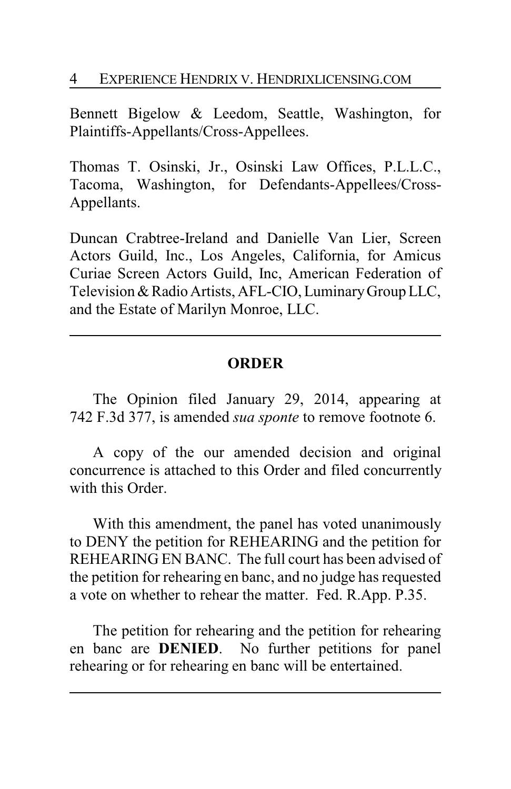### 4 EXPERIENCE HENDRIX V. HENDRIXLICENSING.COM

Bennett Bigelow & Leedom, Seattle, Washington, for Plaintiffs-Appellants/Cross-Appellees.

Thomas T. Osinski, Jr., Osinski Law Offices, P.L.L.C., Tacoma, Washington, for Defendants-Appellees/Cross-Appellants.

Duncan Crabtree-Ireland and Danielle Van Lier, Screen Actors Guild, Inc., Los Angeles, California, for Amicus Curiae Screen Actors Guild, Inc, American Federation of Television & Radio Artists, AFL-CIO, Luminary Group LLC, and the Estate of Marilyn Monroe, LLC.

## **ORDER**

The Opinion filed January 29, 2014, appearing at 742 F.3d 377, is amended *sua sponte* to remove footnote 6.

A copy of the our amended decision and original concurrence is attached to this Order and filed concurrently with this Order.

With this amendment, the panel has voted unanimously to DENY the petition for REHEARING and the petition for REHEARING EN BANC. The full court has been advised of the petition for rehearing en banc, and no judge has requested a vote on whether to rehear the matter. Fed. R.App. P.35.

The petition for rehearing and the petition for rehearing en banc are **DENIED**. No further petitions for panel rehearing or for rehearing en banc will be entertained.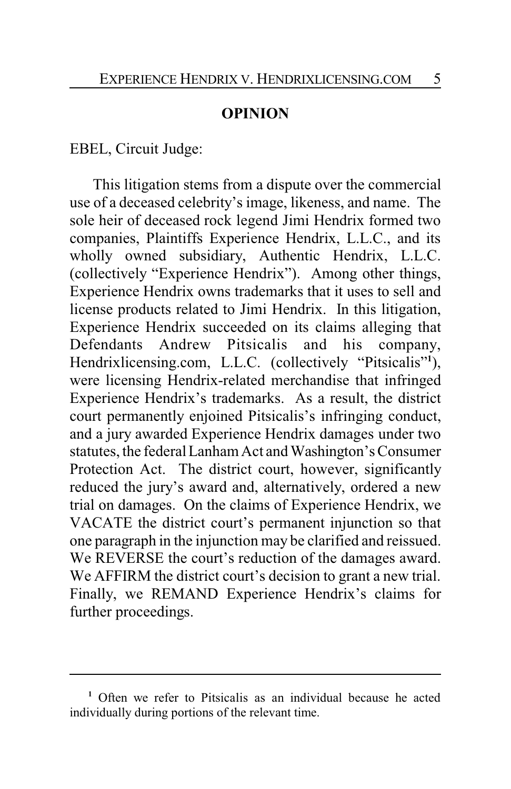### **OPINION**

EBEL, Circuit Judge:

This litigation stems from a dispute over the commercial use of a deceased celebrity's image, likeness, and name. The sole heir of deceased rock legend Jimi Hendrix formed two companies, Plaintiffs Experience Hendrix, L.L.C., and its wholly owned subsidiary, Authentic Hendrix, L.L.C. (collectively "Experience Hendrix"). Among other things, Experience Hendrix owns trademarks that it uses to sell and license products related to Jimi Hendrix. In this litigation, Experience Hendrix succeeded on its claims alleging that Defendants Andrew Pitsicalis and his company, Hendrixlicensing.com, L.L.C. (collectively "Pitsicalis"**<sup>1</sup>** ), were licensing Hendrix-related merchandise that infringed Experience Hendrix's trademarks. As a result, the district court permanently enjoined Pitsicalis's infringing conduct, and a jury awarded Experience Hendrix damages under two statutes, the federal Lanham Act and Washington's Consumer Protection Act. The district court, however, significantly reduced the jury's award and, alternatively, ordered a new trial on damages. On the claims of Experience Hendrix, we VACATE the district court's permanent injunction so that one paragraph in the injunction may be clarified and reissued. We REVERSE the court's reduction of the damages award. We AFFIRM the district court's decision to grant a new trial. Finally, we REMAND Experience Hendrix's claims for further proceedings.

**<sup>1</sup>** Often we refer to Pitsicalis as an individual because he acted individually during portions of the relevant time.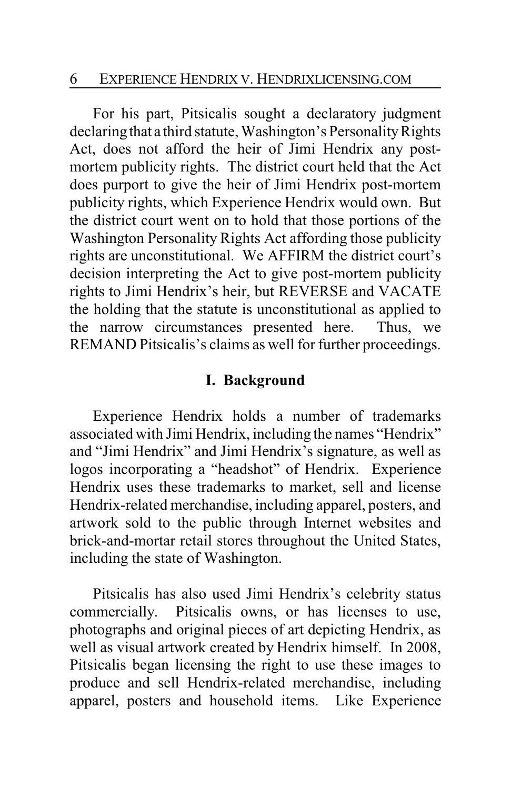### 6 EXPERIENCE HENDRIX V. HENDRIXLICENSING.COM

For his part, Pitsicalis sought a declaratory judgment declaring that a third statute, Washington's Personality Rights Act, does not afford the heir of Jimi Hendrix any postmortem publicity rights. The district court held that the Act does purport to give the heir of Jimi Hendrix post-mortem publicity rights, which Experience Hendrix would own. But the district court went on to hold that those portions of the Washington Personality Rights Act affording those publicity rights are unconstitutional. We AFFIRM the district court's decision interpreting the Act to give post-mortem publicity rights to Jimi Hendrix's heir, but REVERSE and VACATE the holding that the statute is unconstitutional as applied to the narrow circumstances presented here. Thus, we REMAND Pitsicalis's claims as well for further proceedings.

## **I. Background**

Experience Hendrix holds a number of trademarks associated with Jimi Hendrix, including the names "Hendrix" and "Jimi Hendrix" and Jimi Hendrix's signature, as well as logos incorporating a "headshot" of Hendrix. Experience Hendrix uses these trademarks to market, sell and license Hendrix-related merchandise, including apparel, posters, and artwork sold to the public through Internet websites and brick-and-mortar retail stores throughout the United States, including the state of Washington.

Pitsicalis has also used Jimi Hendrix's celebrity status commercially. Pitsicalis owns, or has licenses to use, photographs and original pieces of art depicting Hendrix, as well as visual artwork created by Hendrix himself. In 2008, Pitsicalis began licensing the right to use these images to produce and sell Hendrix-related merchandise, including apparel, posters and household items. Like Experience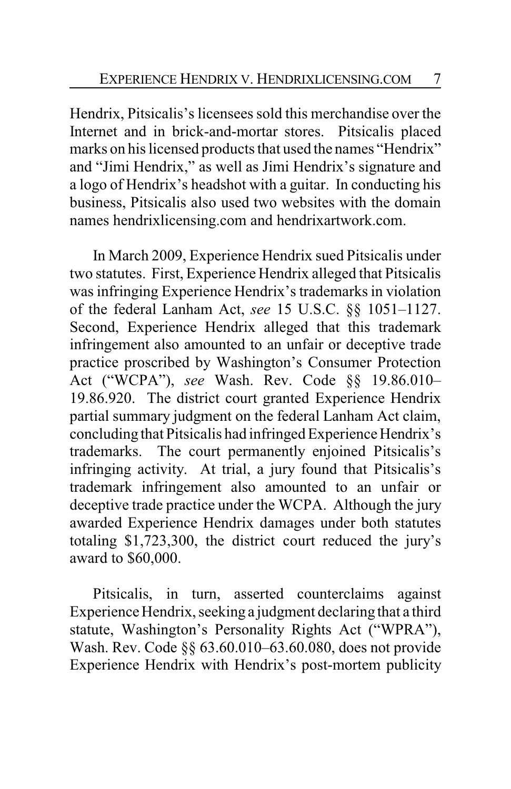Hendrix, Pitsicalis's licensees sold this merchandise over the Internet and in brick-and-mortar stores. Pitsicalis placed marks on his licensed products that used the names "Hendrix" and "Jimi Hendrix," as well as Jimi Hendrix's signature and a logo of Hendrix's headshot with a guitar. In conducting his business, Pitsicalis also used two websites with the domain names hendrixlicensing.com and hendrixartwork.com.

In March 2009, Experience Hendrix sued Pitsicalis under two statutes. First, Experience Hendrix alleged that Pitsicalis was infringing Experience Hendrix's trademarks in violation of the federal Lanham Act, *see* 15 U.S.C. §§ 1051–1127. Second, Experience Hendrix alleged that this trademark infringement also amounted to an unfair or deceptive trade practice proscribed by Washington's Consumer Protection Act ("WCPA"), *see* Wash. Rev. Code §§ 19.86.010– 19.86.920. The district court granted Experience Hendrix partial summary judgment on the federal Lanham Act claim, concluding that Pitsicalis had infringed Experience Hendrix's trademarks. The court permanently enjoined Pitsicalis's infringing activity. At trial, a jury found that Pitsicalis's trademark infringement also amounted to an unfair or deceptive trade practice under the WCPA. Although the jury awarded Experience Hendrix damages under both statutes totaling \$1,723,300, the district court reduced the jury's award to \$60,000.

Pitsicalis, in turn, asserted counterclaims against Experience Hendrix, seeking a judgment declaring that a third statute, Washington's Personality Rights Act ("WPRA"), Wash. Rev. Code §§ 63.60.010–63.60.080, does not provide Experience Hendrix with Hendrix's post-mortem publicity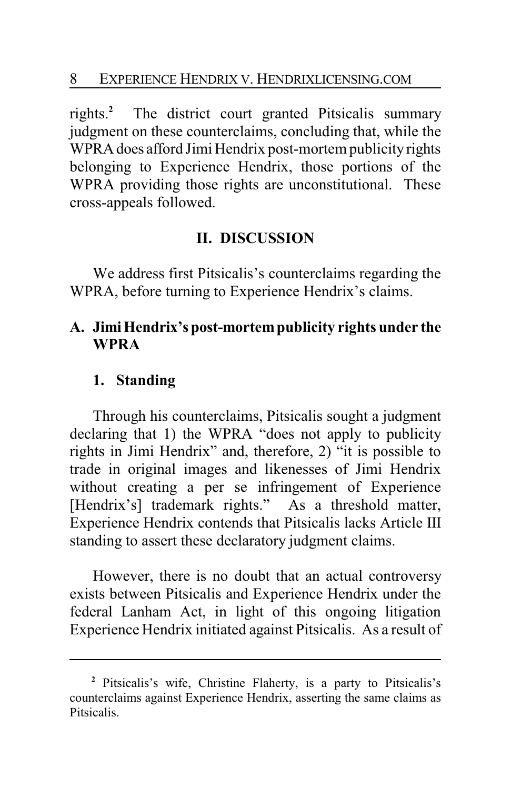rights.**<sup>2</sup>** The district court granted Pitsicalis summary judgment on these counterclaims, concluding that, while the WPRA does afford Jimi Hendrix post-mortem publicity rights belonging to Experience Hendrix, those portions of the WPRA providing those rights are unconstitutional. These cross-appeals followed.

## **II. DISCUSSION**

We address first Pitsicalis's counterclaims regarding the WPRA, before turning to Experience Hendrix's claims.

## **A. JimiHendrix's post-mortempublicity rights under the WPRA**

## **1. Standing**

Through his counterclaims, Pitsicalis sought a judgment declaring that 1) the WPRA "does not apply to publicity rights in Jimi Hendrix" and, therefore, 2) "it is possible to trade in original images and likenesses of Jimi Hendrix without creating a per se infringement of Experience [Hendrix's] trademark rights." As a threshold matter, Experience Hendrix contends that Pitsicalis lacks Article III standing to assert these declaratory judgment claims.

However, there is no doubt that an actual controversy exists between Pitsicalis and Experience Hendrix under the federal Lanham Act, in light of this ongoing litigation Experience Hendrix initiated against Pitsicalis. As a result of

**<sup>2</sup>** Pitsicalis's wife, Christine Flaherty, is a party to Pitsicalis's counterclaims against Experience Hendrix, asserting the same claims as Pitsicalis.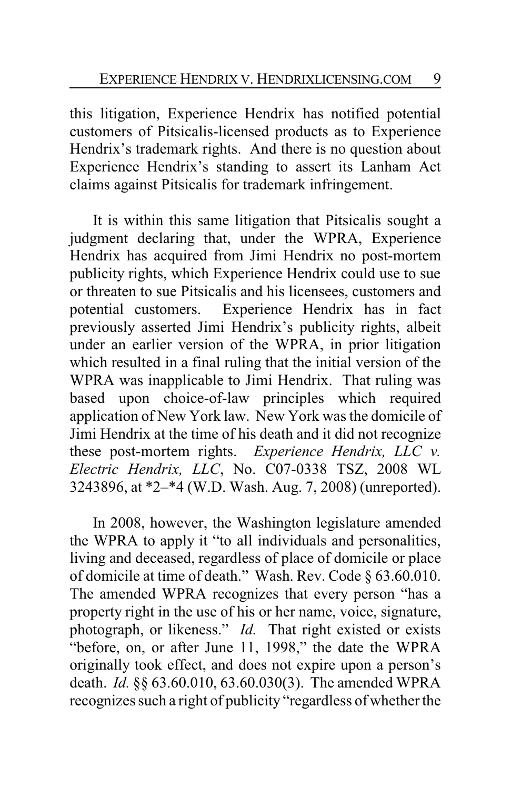this litigation, Experience Hendrix has notified potential customers of Pitsicalis-licensed products as to Experience Hendrix's trademark rights. And there is no question about Experience Hendrix's standing to assert its Lanham Act claims against Pitsicalis for trademark infringement.

It is within this same litigation that Pitsicalis sought a judgment declaring that, under the WPRA, Experience Hendrix has acquired from Jimi Hendrix no post-mortem publicity rights, which Experience Hendrix could use to sue or threaten to sue Pitsicalis and his licensees, customers and potential customers. Experience Hendrix has in fact previously asserted Jimi Hendrix's publicity rights, albeit under an earlier version of the WPRA, in prior litigation which resulted in a final ruling that the initial version of the WPRA was inapplicable to Jimi Hendrix. That ruling was based upon choice-of-law principles which required application of New York law. New York was the domicile of Jimi Hendrix at the time of his death and it did not recognize these post-mortem rights. *Experience Hendrix, LLC v. Electric Hendrix, LLC*, No. C07-0338 TSZ, 2008 WL 3243896, at \*2–\*4 (W.D. Wash. Aug. 7, 2008) (unreported).

In 2008, however, the Washington legislature amended the WPRA to apply it "to all individuals and personalities, living and deceased, regardless of place of domicile or place of domicile at time of death." Wash. Rev. Code § 63.60.010. The amended WPRA recognizes that every person "has a property right in the use of his or her name, voice, signature, photograph, or likeness." *Id.* That right existed or exists "before, on, or after June 11, 1998," the date the WPRA originally took effect, and does not expire upon a person's death. *Id.* §§ 63.60.010, 63.60.030(3). The amended WPRA recognizes such a right of publicity "regardless of whether the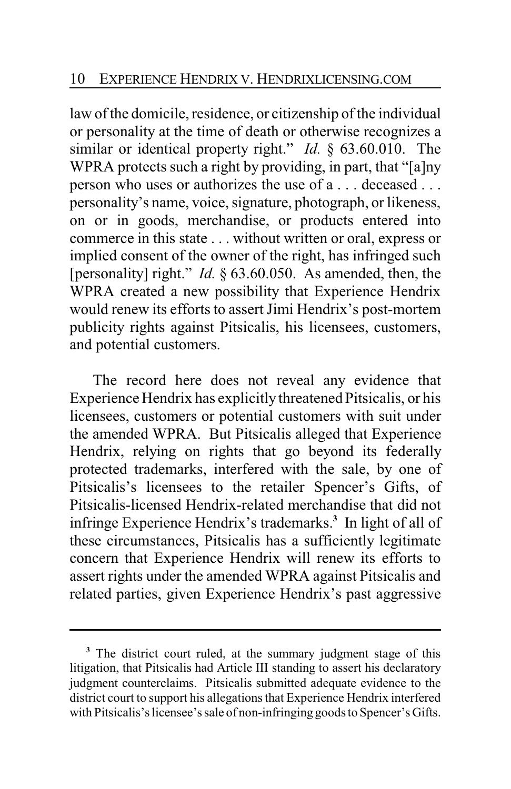law of the domicile, residence, or citizenship of the individual or personality at the time of death or otherwise recognizes a similar or identical property right." *Id.* § 63.60.010. The WPRA protects such a right by providing, in part, that "[a]ny person who uses or authorizes the use of a . . . deceased . . . personality's name, voice, signature, photograph, or likeness, on or in goods, merchandise, or products entered into commerce in this state . . . without written or oral, express or implied consent of the owner of the right, has infringed such [personality] right." *Id.* § 63.60.050. As amended, then, the WPRA created a new possibility that Experience Hendrix would renew its efforts to assert Jimi Hendrix's post-mortem publicity rights against Pitsicalis, his licensees, customers, and potential customers.

The record here does not reveal any evidence that Experience Hendrix has explicitly threatened Pitsicalis, or his licensees, customers or potential customers with suit under the amended WPRA. But Pitsicalis alleged that Experience Hendrix, relying on rights that go beyond its federally protected trademarks, interfered with the sale, by one of Pitsicalis's licensees to the retailer Spencer's Gifts, of Pitsicalis-licensed Hendrix-related merchandise that did not infringe Experience Hendrix's trademarks.**<sup>3</sup>** In light of all of these circumstances, Pitsicalis has a sufficiently legitimate concern that Experience Hendrix will renew its efforts to assert rights under the amended WPRA against Pitsicalis and related parties, given Experience Hendrix's past aggressive

**<sup>3</sup>** The district court ruled, at the summary judgment stage of this litigation, that Pitsicalis had Article III standing to assert his declaratory judgment counterclaims. Pitsicalis submitted adequate evidence to the district court to support his allegations that Experience Hendrix interfered with Pitsicalis's licensee's sale of non-infringing goods to Spencer's Gifts.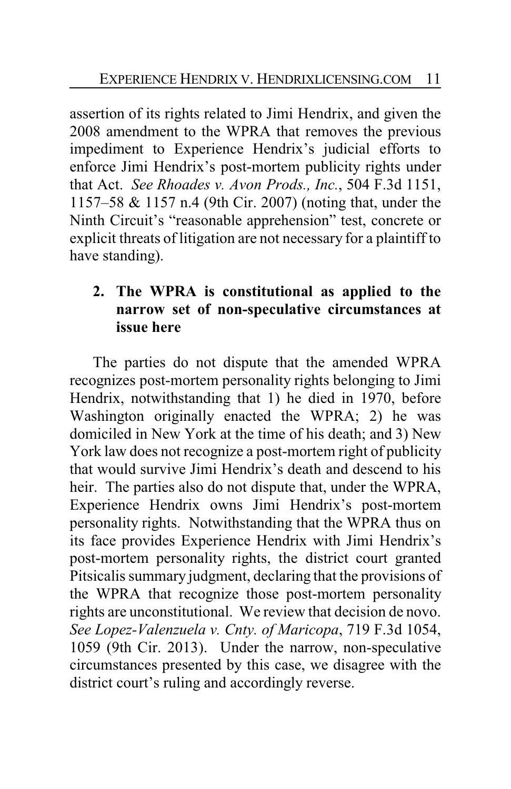assertion of its rights related to Jimi Hendrix, and given the 2008 amendment to the WPRA that removes the previous impediment to Experience Hendrix's judicial efforts to enforce Jimi Hendrix's post-mortem publicity rights under that Act. *See Rhoades v. Avon Prods., Inc.*, 504 F.3d 1151, 1157–58 & 1157 n.4 (9th Cir. 2007) (noting that, under the Ninth Circuit's "reasonable apprehension" test, concrete or explicit threats of litigation are not necessary for a plaintiff to have standing).

# **2. The WPRA is constitutional as applied to the narrow set of non-speculative circumstances at issue here**

The parties do not dispute that the amended WPRA recognizes post-mortem personality rights belonging to Jimi Hendrix, notwithstanding that 1) he died in 1970, before Washington originally enacted the WPRA; 2) he was domiciled in New York at the time of his death; and 3) New York law does not recognize a post-mortem right of publicity that would survive Jimi Hendrix's death and descend to his heir. The parties also do not dispute that, under the WPRA, Experience Hendrix owns Jimi Hendrix's post-mortem personality rights. Notwithstanding that the WPRA thus on its face provides Experience Hendrix with Jimi Hendrix's post-mortem personality rights, the district court granted Pitsicalis summary judgment, declaring that the provisions of the WPRA that recognize those post-mortem personality rights are unconstitutional. We review that decision de novo. *See Lopez-Valenzuela v. Cnty. of Maricopa*, 719 F.3d 1054, 1059 (9th Cir. 2013). Under the narrow, non-speculative circumstances presented by this case, we disagree with the district court's ruling and accordingly reverse.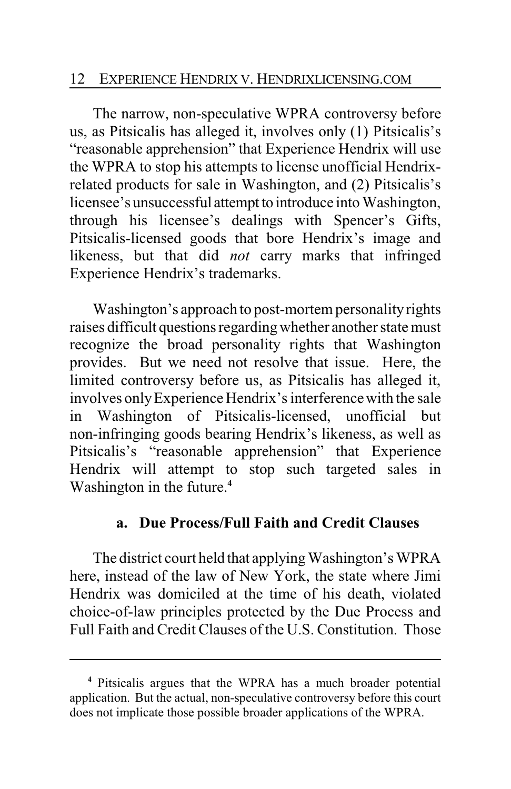### 12 EXPERIENCE HENDRIX V. HENDRIXLICENSING.COM

The narrow, non-speculative WPRA controversy before us, as Pitsicalis has alleged it, involves only (1) Pitsicalis's "reasonable apprehension" that Experience Hendrix will use the WPRA to stop his attempts to license unofficial Hendrixrelated products for sale in Washington, and (2) Pitsicalis's licensee's unsuccessful attempt to introduce into Washington, through his licensee's dealings with Spencer's Gifts, Pitsicalis-licensed goods that bore Hendrix's image and likeness, but that did *not* carry marks that infringed Experience Hendrix's trademarks.

Washington's approach to post-mortem personalityrights raises difficult questions regardingwhether another state must recognize the broad personality rights that Washington provides. But we need not resolve that issue. Here, the limited controversy before us, as Pitsicalis has alleged it, involves onlyExperience Hendrix's interference with the sale in Washington of Pitsicalis-licensed, unofficial but non-infringing goods bearing Hendrix's likeness, as well as Pitsicalis's "reasonable apprehension" that Experience Hendrix will attempt to stop such targeted sales in Washington in the future.**<sup>4</sup>**

## **a. Due Process/Full Faith and Credit Clauses**

The district court held that applying Washington's WPRA here, instead of the law of New York, the state where Jimi Hendrix was domiciled at the time of his death, violated choice-of-law principles protected by the Due Process and Full Faith and Credit Clauses of the U.S. Constitution. Those

**<sup>4</sup>** Pitsicalis argues that the WPRA has a much broader potential application. But the actual, non-speculative controversy before this court does not implicate those possible broader applications of the WPRA.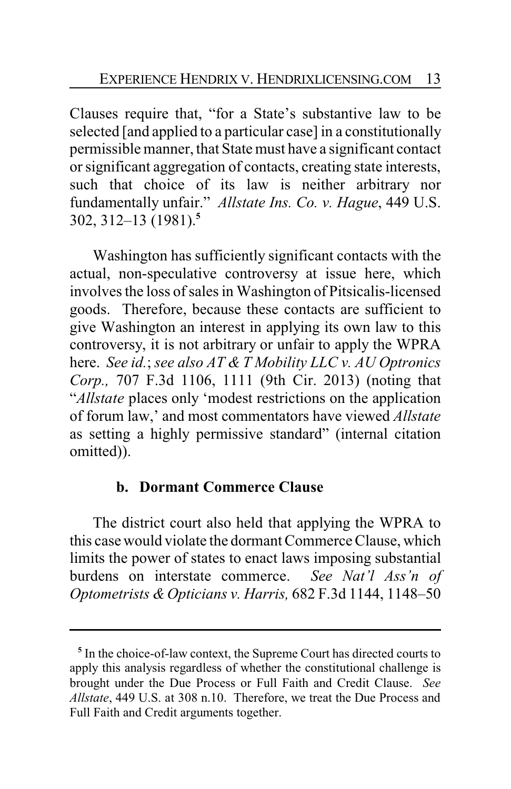Clauses require that, "for a State's substantive law to be selected [and applied to a particular case] in a constitutionally permissible manner, that State must have a significant contact or significant aggregation of contacts, creating state interests, such that choice of its law is neither arbitrary nor fundamentally unfair." *Allstate Ins. Co. v. Hague*, 449 U.S. 302, 312–13 (1981).**<sup>5</sup>**

Washington has sufficiently significant contacts with the actual, non-speculative controversy at issue here, which involves the loss of sales in Washington of Pitsicalis-licensed goods. Therefore, because these contacts are sufficient to give Washington an interest in applying its own law to this controversy, it is not arbitrary or unfair to apply the WPRA here. *See id.*; *see also AT & T Mobility LLC v. AU Optronics Corp.,* 707 F.3d 1106, 1111 (9th Cir. 2013) (noting that "*Allstate* places only 'modest restrictions on the application of forum law,' and most commentators have viewed *Allstate* as setting a highly permissive standard" (internal citation omitted)).

## **b. Dormant Commerce Clause**

The district court also held that applying the WPRA to this case would violate the dormant Commerce Clause, which limits the power of states to enact laws imposing substantial burdens on interstate commerce. *See Nat'l Ass'n of Optometrists &Opticians v. Harris,* 682 F.3d 1144, 1148–50

**<sup>5</sup>** In the choice-of-law context, the Supreme Court has directed courts to apply this analysis regardless of whether the constitutional challenge is brought under the Due Process or Full Faith and Credit Clause. *See Allstate*, 449 U.S. at 308 n.10. Therefore, we treat the Due Process and Full Faith and Credit arguments together.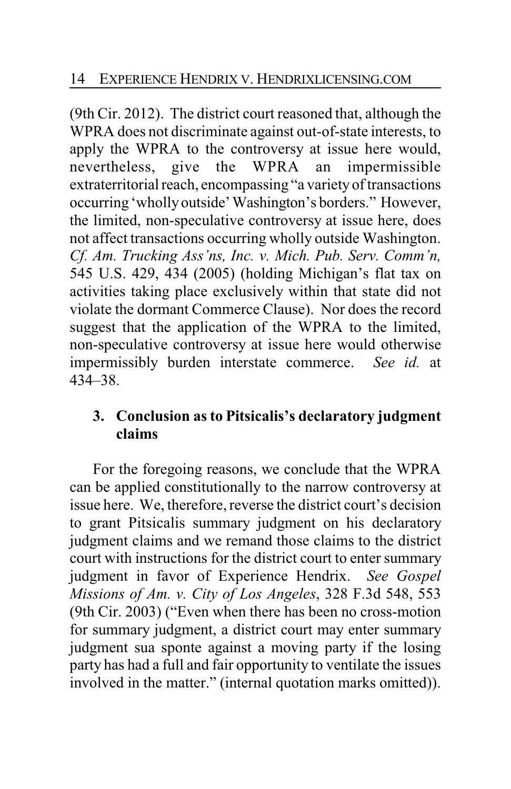(9th Cir. 2012). The district court reasoned that, although the WPRA does not discriminate against out-of-state interests, to apply the WPRA to the controversy at issue here would, nevertheless, give the WPRA an impermissible extraterritorial reach, encompassing "a varietyof transactions occurring 'whollyoutside'Washington's borders." However, the limited, non-speculative controversy at issue here, does not affect transactions occurring wholly outside Washington. *Cf. Am. Trucking Ass'ns, Inc. v. Mich. Pub. Serv. Comm'n,* 545 U.S. 429, 434 (2005) (holding Michigan's flat tax on activities taking place exclusively within that state did not violate the dormant Commerce Clause). Nor does the record suggest that the application of the WPRA to the limited, non-speculative controversy at issue here would otherwise impermissibly burden interstate commerce. *See id.* at 434–38.

# **3. Conclusion as to Pitsicalis's declaratory judgment claims**

For the foregoing reasons, we conclude that the WPRA can be applied constitutionally to the narrow controversy at issue here. We, therefore, reverse the district court's decision to grant Pitsicalis summary judgment on his declaratory judgment claims and we remand those claims to the district court with instructions for the district court to enter summary judgment in favor of Experience Hendrix. *See Gospel Missions of Am. v. City of Los Angeles*, 328 F.3d 548, 553 (9th Cir. 2003) ("Even when there has been no cross-motion for summary judgment, a district court may enter summary judgment sua sponte against a moving party if the losing party has had a full and fair opportunity to ventilate the issues involved in the matter." (internal quotation marks omitted)).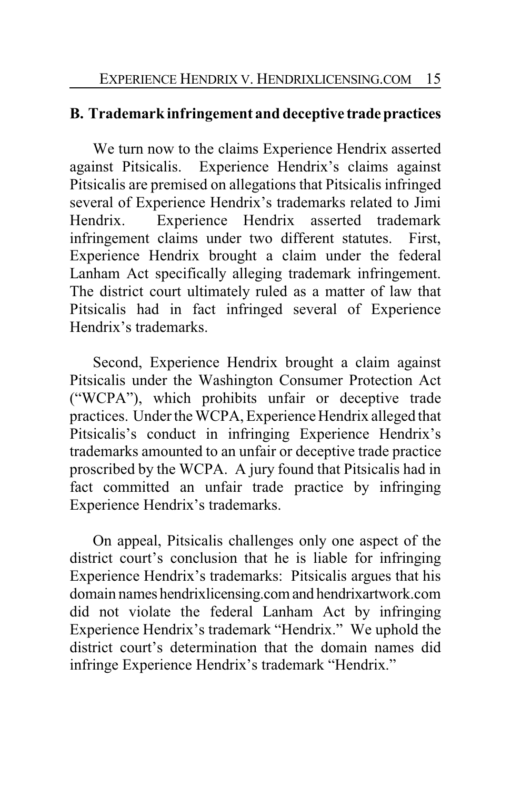# **B. Trademark infringement and deceptive tradepractices**

We turn now to the claims Experience Hendrix asserted against Pitsicalis. Experience Hendrix's claims against Pitsicalis are premised on allegations that Pitsicalis infringed several of Experience Hendrix's trademarks related to Jimi Hendrix. Experience Hendrix asserted trademark infringement claims under two different statutes. First, Experience Hendrix brought a claim under the federal Lanham Act specifically alleging trademark infringement. The district court ultimately ruled as a matter of law that Pitsicalis had in fact infringed several of Experience Hendrix's trademarks.

Second, Experience Hendrix brought a claim against Pitsicalis under the Washington Consumer Protection Act ("WCPA"), which prohibits unfair or deceptive trade practices. Under the WCPA, Experience Hendrix alleged that Pitsicalis's conduct in infringing Experience Hendrix's trademarks amounted to an unfair or deceptive trade practice proscribed by the WCPA. A jury found that Pitsicalis had in fact committed an unfair trade practice by infringing Experience Hendrix's trademarks.

On appeal, Pitsicalis challenges only one aspect of the district court's conclusion that he is liable for infringing Experience Hendrix's trademarks: Pitsicalis argues that his domain names hendrixlicensing.comand hendrixartwork.com did not violate the federal Lanham Act by infringing Experience Hendrix's trademark "Hendrix." We uphold the district court's determination that the domain names did infringe Experience Hendrix's trademark "Hendrix."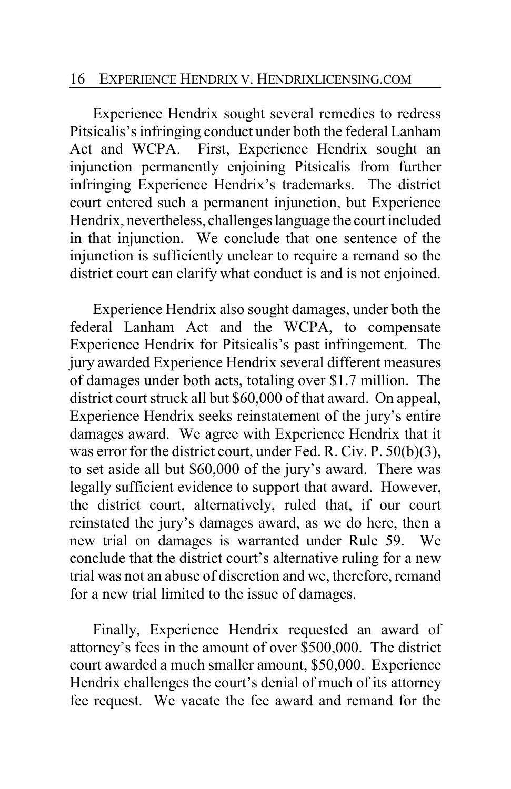Experience Hendrix sought several remedies to redress Pitsicalis's infringing conduct under both the federal Lanham Act and WCPA. First, Experience Hendrix sought an injunction permanently enjoining Pitsicalis from further infringing Experience Hendrix's trademarks. The district court entered such a permanent injunction, but Experience Hendrix, nevertheless, challenges language the court included in that injunction. We conclude that one sentence of the injunction is sufficiently unclear to require a remand so the district court can clarify what conduct is and is not enjoined.

Experience Hendrix also sought damages, under both the federal Lanham Act and the WCPA, to compensate Experience Hendrix for Pitsicalis's past infringement. The jury awarded Experience Hendrix several different measures of damages under both acts, totaling over \$1.7 million. The district court struck all but \$60,000 of that award. On appeal, Experience Hendrix seeks reinstatement of the jury's entire damages award. We agree with Experience Hendrix that it was error for the district court, under Fed. R. Civ. P. 50(b)(3), to set aside all but \$60,000 of the jury's award. There was legally sufficient evidence to support that award. However, the district court, alternatively, ruled that, if our court reinstated the jury's damages award, as we do here, then a new trial on damages is warranted under Rule 59. We conclude that the district court's alternative ruling for a new trial was not an abuse of discretion and we, therefore, remand for a new trial limited to the issue of damages.

Finally, Experience Hendrix requested an award of attorney's fees in the amount of over \$500,000. The district court awarded a much smaller amount, \$50,000. Experience Hendrix challenges the court's denial of much of its attorney fee request. We vacate the fee award and remand for the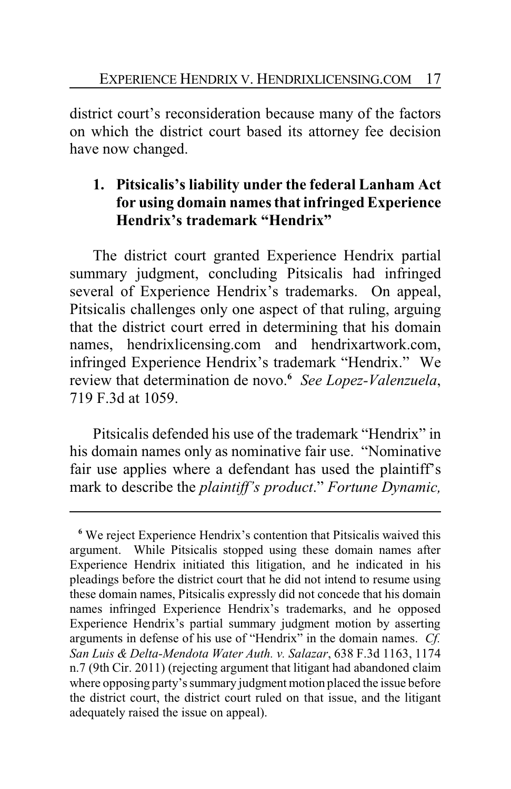district court's reconsideration because many of the factors on which the district court based its attorney fee decision have now changed.

# **1. Pitsicalis's liability under the federal Lanham Act for using domain names that infringed Experience Hendrix's trademark "Hendrix"**

The district court granted Experience Hendrix partial summary judgment, concluding Pitsicalis had infringed several of Experience Hendrix's trademarks. On appeal, Pitsicalis challenges only one aspect of that ruling, arguing that the district court erred in determining that his domain names, hendrixlicensing.com and hendrixartwork.com, infringed Experience Hendrix's trademark "Hendrix." We review that determination de novo.**<sup>6</sup>** *See Lopez-Valenzuela*, 719 F.3d at 1059.

Pitsicalis defended his use of the trademark "Hendrix" in his domain names only as nominative fair use. "Nominative fair use applies where a defendant has used the plaintiff's mark to describe the *plaintiff's product*." *Fortune Dynamic,*

**<sup>6</sup>** We reject Experience Hendrix's contention that Pitsicalis waived this argument. While Pitsicalis stopped using these domain names after Experience Hendrix initiated this litigation, and he indicated in his pleadings before the district court that he did not intend to resume using these domain names, Pitsicalis expressly did not concede that his domain names infringed Experience Hendrix's trademarks, and he opposed Experience Hendrix's partial summary judgment motion by asserting arguments in defense of his use of "Hendrix" in the domain names. *Cf. San Luis & Delta-Mendota Water Auth. v. Salazar*, 638 F.3d 1163, 1174 n.7 (9th Cir. 2011) (rejecting argument that litigant had abandoned claim where opposing party's summary judgment motion placed the issue before the district court, the district court ruled on that issue, and the litigant adequately raised the issue on appeal).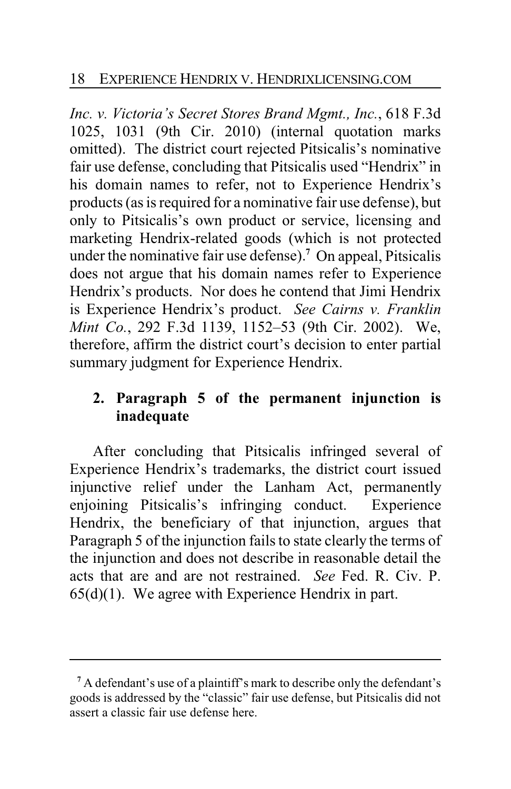*Inc. v. Victoria's Secret Stores Brand Mgmt., Inc.*, 618 F.3d 1025, 1031 (9th Cir. 2010) (internal quotation marks omitted). The district court rejected Pitsicalis's nominative fair use defense, concluding that Pitsicalis used "Hendrix" in his domain names to refer, not to Experience Hendrix's products (as is required for a nominative fair use defense), but only to Pitsicalis's own product or service, licensing and marketing Hendrix-related goods (which is not protected under the nominative fair use defense).**<sup>7</sup>** On appeal, Pitsicalis does not argue that his domain names refer to Experience Hendrix's products. Nor does he contend that Jimi Hendrix is Experience Hendrix's product. *See Cairns v. Franklin Mint Co.*, 292 F.3d 1139, 1152–53 (9th Cir. 2002). We, therefore, affirm the district court's decision to enter partial summary judgment for Experience Hendrix.

# **2. Paragraph 5 of the permanent injunction is inadequate**

After concluding that Pitsicalis infringed several of Experience Hendrix's trademarks, the district court issued injunctive relief under the Lanham Act, permanently enjoining Pitsicalis's infringing conduct. Experience Hendrix, the beneficiary of that injunction, argues that Paragraph 5 of the injunction fails to state clearly the terms of the injunction and does not describe in reasonable detail the acts that are and are not restrained. *See* Fed. R. Civ. P. 65(d)(1). We agree with Experience Hendrix in part.

**<sup>7</sup>** A defendant's use of a plaintiff's mark to describe only the defendant's goods is addressed by the "classic" fair use defense, but Pitsicalis did not assert a classic fair use defense here.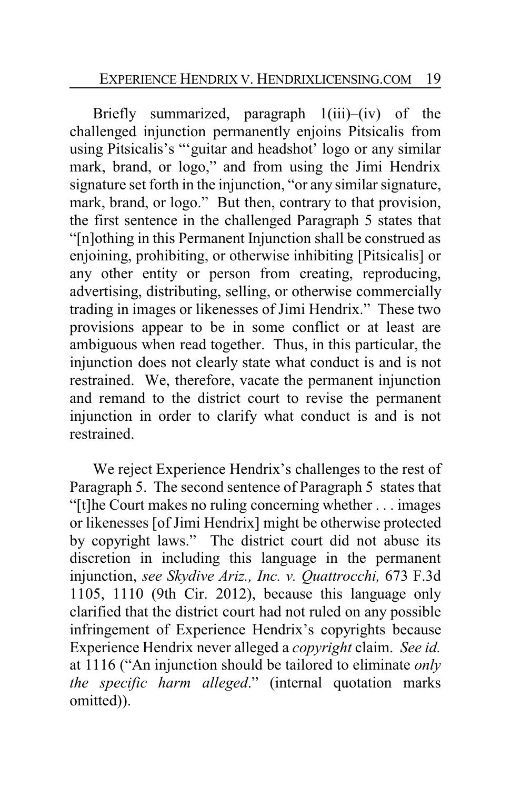Briefly summarized, paragraph 1(iii)–(iv) of the challenged injunction permanently enjoins Pitsicalis from using Pitsicalis's "'guitar and headshot' logo or any similar mark, brand, or logo," and from using the Jimi Hendrix signature set forth in the injunction, "or any similar signature, mark, brand, or logo." But then, contrary to that provision, the first sentence in the challenged Paragraph 5 states that "[n]othing in this Permanent Injunction shall be construed as enjoining, prohibiting, or otherwise inhibiting [Pitsicalis] or any other entity or person from creating, reproducing, advertising, distributing, selling, or otherwise commercially trading in images or likenesses of Jimi Hendrix." These two provisions appear to be in some conflict or at least are ambiguous when read together. Thus, in this particular, the injunction does not clearly state what conduct is and is not restrained. We, therefore, vacate the permanent injunction and remand to the district court to revise the permanent injunction in order to clarify what conduct is and is not restrained.

We reject Experience Hendrix's challenges to the rest of Paragraph 5. The second sentence of Paragraph 5 states that "[t]he Court makes no ruling concerning whether . . . images or likenesses [of Jimi Hendrix] might be otherwise protected by copyright laws." The district court did not abuse its discretion in including this language in the permanent injunction, *see Skydive Ariz., Inc. v. Quattrocchi,* 673 F.3d 1105, 1110 (9th Cir. 2012), because this language only clarified that the district court had not ruled on any possible infringement of Experience Hendrix's copyrights because Experience Hendrix never alleged a *copyright* claim. *See id.* at 1116 ("An injunction should be tailored to eliminate *only the specific harm alleged*." (internal quotation marks omitted)).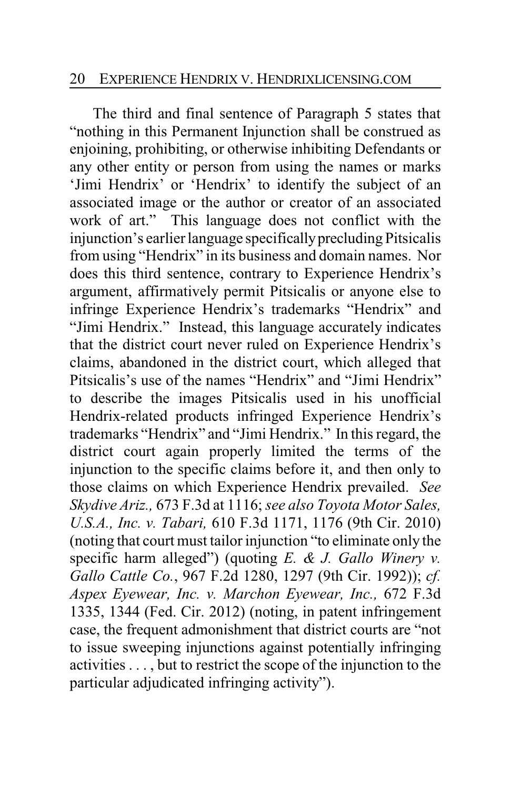#### 20 EXPERIENCE HENDRIX V. HENDRIXLICENSING.COM

The third and final sentence of Paragraph 5 states that "nothing in this Permanent Injunction shall be construed as enjoining, prohibiting, or otherwise inhibiting Defendants or any other entity or person from using the names or marks 'Jimi Hendrix' or 'Hendrix' to identify the subject of an associated image or the author or creator of an associated work of art." This language does not conflict with the injunction's earlier language specificallyprecluding Pitsicalis from using "Hendrix" in its business and domain names. Nor does this third sentence, contrary to Experience Hendrix's argument, affirmatively permit Pitsicalis or anyone else to infringe Experience Hendrix's trademarks "Hendrix" and "Jimi Hendrix." Instead, this language accurately indicates that the district court never ruled on Experience Hendrix's claims, abandoned in the district court, which alleged that Pitsicalis's use of the names "Hendrix" and "Jimi Hendrix" to describe the images Pitsicalis used in his unofficial Hendrix-related products infringed Experience Hendrix's trademarks "Hendrix" and "Jimi Hendrix." In this regard, the district court again properly limited the terms of the injunction to the specific claims before it, and then only to those claims on which Experience Hendrix prevailed. *See Skydive Ariz.,* 673 F.3d at 1116; *see also Toyota Motor Sales, U.S.A., Inc. v. Tabari,* 610 F.3d 1171, 1176 (9th Cir. 2010) (noting that court must tailor injunction "to eliminate only the specific harm alleged") (quoting *E. & J. Gallo Winery v. Gallo Cattle Co.*, 967 F.2d 1280, 1297 (9th Cir. 1992)); *cf. Aspex Eyewear, Inc. v. Marchon Eyewear, Inc.,* 672 F.3d 1335, 1344 (Fed. Cir. 2012) (noting, in patent infringement case, the frequent admonishment that district courts are "not to issue sweeping injunctions against potentially infringing activities . . . , but to restrict the scope of the injunction to the particular adjudicated infringing activity").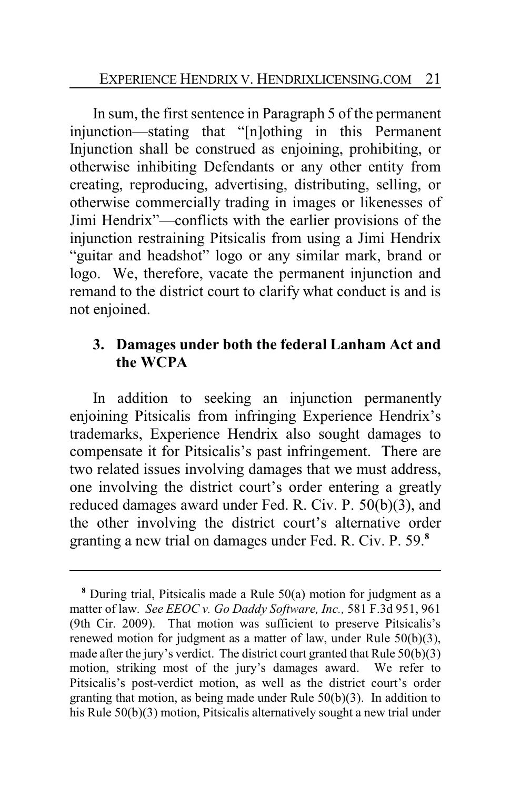In sum, the first sentence in Paragraph 5 of the permanent injunction—stating that "[n]othing in this Permanent Injunction shall be construed as enjoining, prohibiting, or otherwise inhibiting Defendants or any other entity from creating, reproducing, advertising, distributing, selling, or otherwise commercially trading in images or likenesses of Jimi Hendrix"—conflicts with the earlier provisions of the injunction restraining Pitsicalis from using a Jimi Hendrix "guitar and headshot" logo or any similar mark, brand or logo. We, therefore, vacate the permanent injunction and remand to the district court to clarify what conduct is and is not enjoined.

# **3. Damages under both the federal Lanham Act and the WCPA**

In addition to seeking an injunction permanently enjoining Pitsicalis from infringing Experience Hendrix's trademarks, Experience Hendrix also sought damages to compensate it for Pitsicalis's past infringement. There are two related issues involving damages that we must address, one involving the district court's order entering a greatly reduced damages award under Fed. R. Civ. P. 50(b)(3), and the other involving the district court's alternative order granting a new trial on damages under Fed. R. Civ. P. 59.**<sup>8</sup>**

**<sup>8</sup>** During trial, Pitsicalis made a Rule 50(a) motion for judgment as a matter of law. *See EEOC v. Go Daddy Software, Inc.,* 581 F.3d 951, 961 (9th Cir. 2009). That motion was sufficient to preserve Pitsicalis's renewed motion for judgment as a matter of law, under Rule 50(b)(3), made after the jury's verdict. The district court granted that Rule 50(b)(3) motion, striking most of the jury's damages award. We refer to Pitsicalis's post-verdict motion, as well as the district court's order granting that motion, as being made under Rule 50(b)(3). In addition to his Rule 50(b)(3) motion, Pitsicalis alternatively sought a new trial under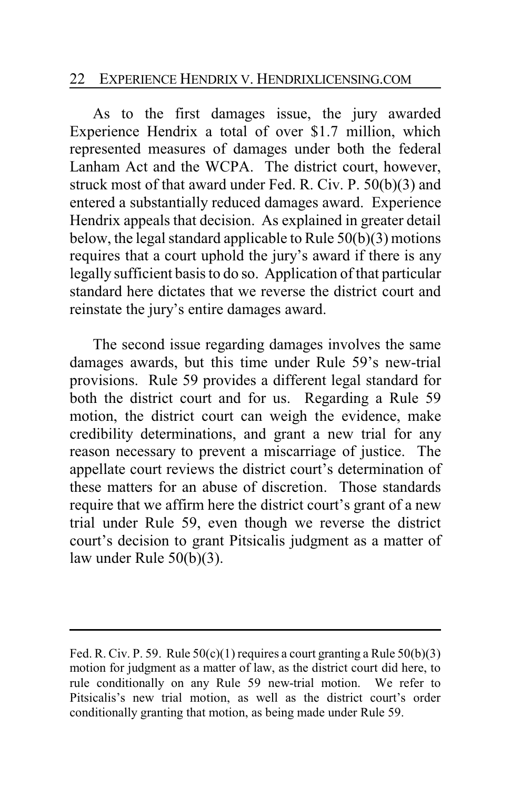### 22 EXPERIENCE HENDRIX V. HENDRIXLICENSING.COM

As to the first damages issue, the jury awarded Experience Hendrix a total of over \$1.7 million, which represented measures of damages under both the federal Lanham Act and the WCPA. The district court, however, struck most of that award under Fed. R. Civ. P. 50(b)(3) and entered a substantially reduced damages award. Experience Hendrix appeals that decision. As explained in greater detail below, the legal standard applicable to Rule 50(b)(3) motions requires that a court uphold the jury's award if there is any legally sufficient basis to do so. Application of that particular standard here dictates that we reverse the district court and reinstate the jury's entire damages award.

The second issue regarding damages involves the same damages awards, but this time under Rule 59's new-trial provisions. Rule 59 provides a different legal standard for both the district court and for us. Regarding a Rule 59 motion, the district court can weigh the evidence, make credibility determinations, and grant a new trial for any reason necessary to prevent a miscarriage of justice. The appellate court reviews the district court's determination of these matters for an abuse of discretion. Those standards require that we affirm here the district court's grant of a new trial under Rule 59, even though we reverse the district court's decision to grant Pitsicalis judgment as a matter of law under Rule 50(b)(3).

Fed. R. Civ. P. 59. Rule  $50(c)(1)$  requires a court granting a Rule  $50(b)(3)$ motion for judgment as a matter of law, as the district court did here, to rule conditionally on any Rule 59 new-trial motion. We refer to Pitsicalis's new trial motion, as well as the district court's order conditionally granting that motion, as being made under Rule 59.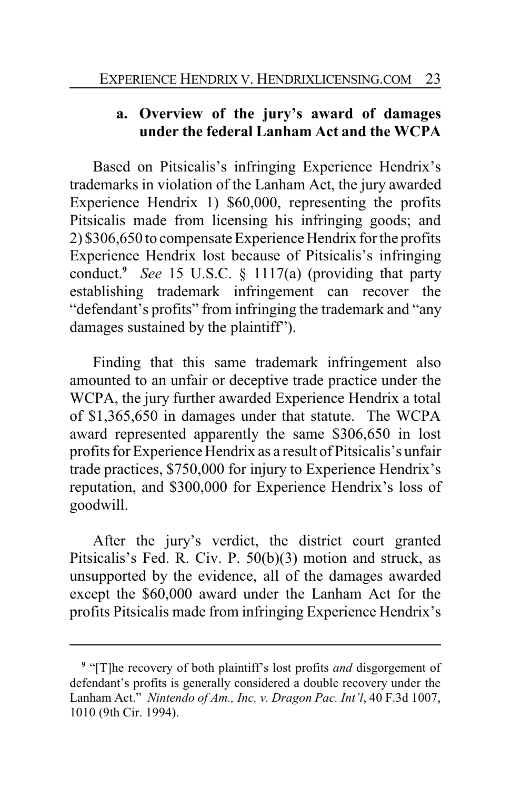# **a. Overview of the jury's award of damages under the federal Lanham Act and the WCPA**

Based on Pitsicalis's infringing Experience Hendrix's trademarks in violation of the Lanham Act, the jury awarded Experience Hendrix 1) \$60,000, representing the profits Pitsicalis made from licensing his infringing goods; and 2) \$306,650 to compensate Experience Hendrix for the profits Experience Hendrix lost because of Pitsicalis's infringing conduct.**<sup>9</sup>** *See* 15 U.S.C. § 1117(a) (providing that party establishing trademark infringement can recover the "defendant's profits" from infringing the trademark and "any damages sustained by the plaintiff").

Finding that this same trademark infringement also amounted to an unfair or deceptive trade practice under the WCPA, the jury further awarded Experience Hendrix a total of \$1,365,650 in damages under that statute. The WCPA award represented apparently the same \$306,650 in lost profits for Experience Hendrix as a result of Pitsicalis's unfair trade practices, \$750,000 for injury to Experience Hendrix's reputation, and \$300,000 for Experience Hendrix's loss of goodwill.

After the jury's verdict, the district court granted Pitsicalis's Fed. R. Civ. P. 50(b)(3) motion and struck, as unsupported by the evidence, all of the damages awarded except the \$60,000 award under the Lanham Act for the profits Pitsicalis made from infringing Experience Hendrix's

**<sup>9</sup>** "[T]he recovery of both plaintiff's lost profits *and* disgorgement of defendant's profits is generally considered a double recovery under the Lanham Act." *Nintendo of Am., Inc. v. Dragon Pac. Int'l*, 40 F.3d 1007, 1010 (9th Cir. 1994).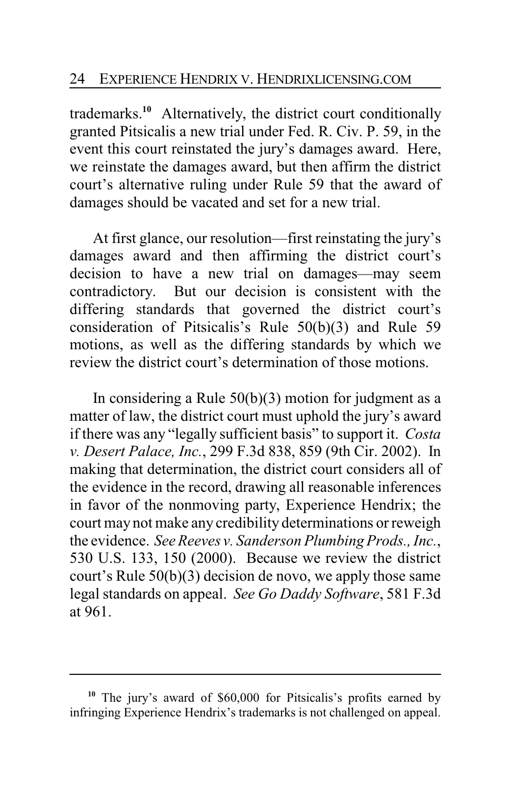trademarks.**<sup>10</sup>** Alternatively, the district court conditionally granted Pitsicalis a new trial under Fed. R. Civ. P. 59, in the event this court reinstated the jury's damages award. Here, we reinstate the damages award, but then affirm the district court's alternative ruling under Rule 59 that the award of damages should be vacated and set for a new trial.

At first glance, our resolution—first reinstating the jury's damages award and then affirming the district court's decision to have a new trial on damages—may seem contradictory. But our decision is consistent with the differing standards that governed the district court's consideration of Pitsicalis's Rule 50(b)(3) and Rule 59 motions, as well as the differing standards by which we review the district court's determination of those motions.

In considering a Rule  $50(b)(3)$  motion for judgment as a matter of law, the district court must uphold the jury's award if there was any "legally sufficient basis" to support it. *Costa v. Desert Palace, Inc.*, 299 F.3d 838, 859 (9th Cir. 2002). In making that determination, the district court considers all of the evidence in the record, drawing all reasonable inferences in favor of the nonmoving party, Experience Hendrix; the court may not make any credibility determinations or reweigh the evidence. *See Reeves v. Sanderson Plumbing Prods., Inc.*, 530 U.S. 133, 150 (2000). Because we review the district court's Rule 50(b)(3) decision de novo, we apply those same legal standards on appeal. *See Go Daddy Software*, 581 F.3d at 961.

**<sup>10</sup>** The jury's award of \$60,000 for Pitsicalis's profits earned by infringing Experience Hendrix's trademarks is not challenged on appeal.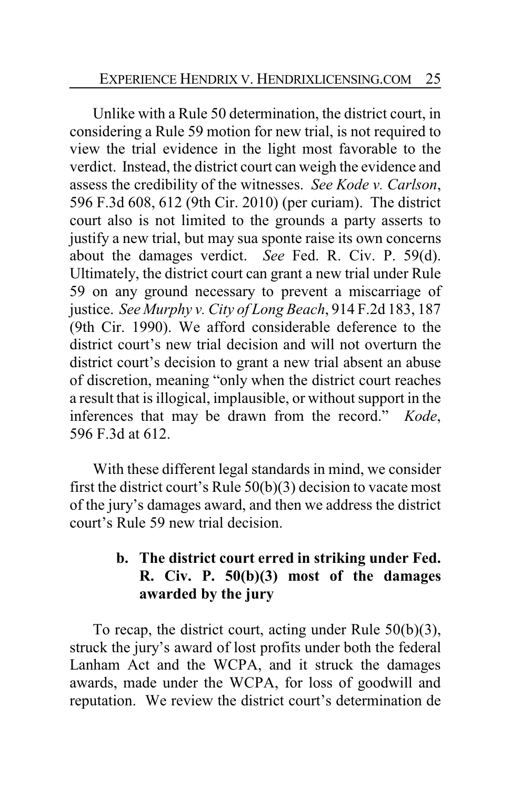Unlike with a Rule 50 determination, the district court, in considering a Rule 59 motion for new trial, is not required to view the trial evidence in the light most favorable to the verdict. Instead, the district court can weigh the evidence and assess the credibility of the witnesses. *See Kode v. Carlson*, 596 F.3d 608, 612 (9th Cir. 2010) (per curiam). The district court also is not limited to the grounds a party asserts to justify a new trial, but may sua sponte raise its own concerns about the damages verdict. *See* Fed. R. Civ. P. 59(d). Ultimately, the district court can grant a new trial under Rule 59 on any ground necessary to prevent a miscarriage of justice. *See Murphy v. City of Long Beach*, 914 F.2d 183, 187 (9th Cir. 1990). We afford considerable deference to the district court's new trial decision and will not overturn the district court's decision to grant a new trial absent an abuse of discretion, meaning "only when the district court reaches a result that is illogical, implausible, or without support in the inferences that may be drawn from the record." *Kode*, 596 F.3d at 612.

With these different legal standards in mind, we consider first the district court's Rule 50(b)(3) decision to vacate most of the jury's damages award, and then we address the district court's Rule 59 new trial decision.

## **b. The district court erred in striking under Fed. R. Civ. P. 50(b)(3) most of the damages awarded by the jury**

To recap, the district court, acting under Rule 50(b)(3), struck the jury's award of lost profits under both the federal Lanham Act and the WCPA, and it struck the damages awards, made under the WCPA, for loss of goodwill and reputation. We review the district court's determination de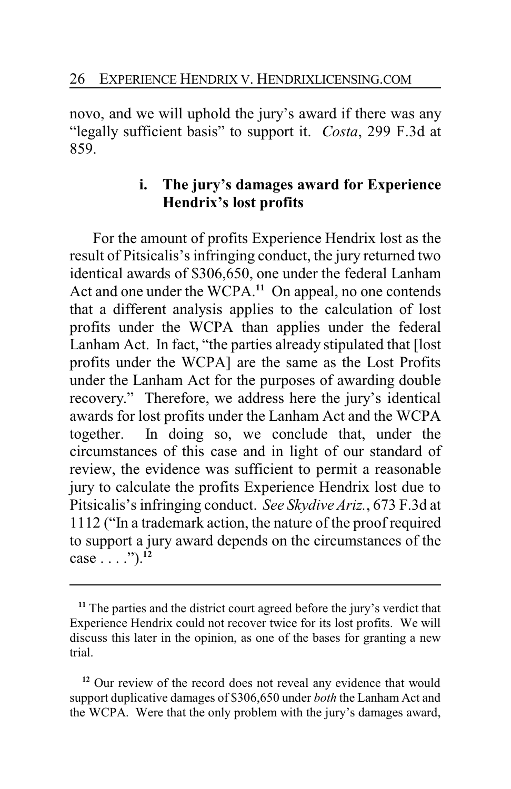novo, and we will uphold the jury's award if there was any "legally sufficient basis" to support it. *Costa*, 299 F.3d at 859.

# **i. The jury's damages award for Experience Hendrix's lost profits**

For the amount of profits Experience Hendrix lost as the result of Pitsicalis's infringing conduct, the jury returned two identical awards of \$306,650, one under the federal Lanham Act and one under the WCPA.**<sup>11</sup>** On appeal, no one contends that a different analysis applies to the calculation of lost profits under the WCPA than applies under the federal Lanham Act. In fact, "the parties already stipulated that [lost profits under the WCPA] are the same as the Lost Profits under the Lanham Act for the purposes of awarding double recovery." Therefore, we address here the jury's identical awards for lost profits under the Lanham Act and the WCPA together. In doing so, we conclude that, under the circumstances of this case and in light of our standard of review, the evidence was sufficient to permit a reasonable jury to calculate the profits Experience Hendrix lost due to Pitsicalis's infringing conduct. *See Skydive Ariz.*, 673 F.3d at 1112 ("In a trademark action, the nature of the proof required to support a jury award depends on the circumstances of the case . . . .").**<sup>12</sup>**

<sup>12</sup> Our review of the record does not reveal any evidence that would support duplicative damages of \$306,650 under *both* the Lanham Act and the WCPA. Were that the only problem with the jury's damages award,

**<sup>11</sup>** The parties and the district court agreed before the jury's verdict that Experience Hendrix could not recover twice for its lost profits. We will discuss this later in the opinion, as one of the bases for granting a new trial.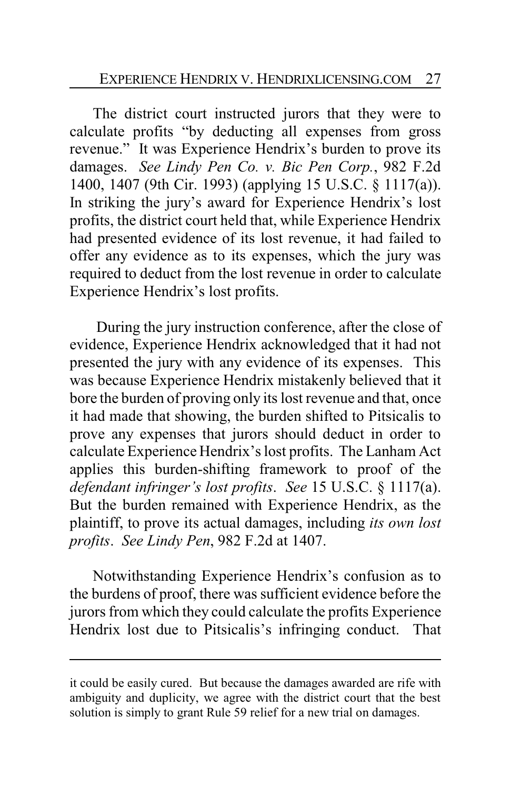The district court instructed jurors that they were to calculate profits "by deducting all expenses from gross revenue." It was Experience Hendrix's burden to prove its damages. *See Lindy Pen Co. v. Bic Pen Corp.*, 982 F.2d 1400, 1407 (9th Cir. 1993) (applying 15 U.S.C. § 1117(a)). In striking the jury's award for Experience Hendrix's lost profits, the district court held that, while Experience Hendrix had presented evidence of its lost revenue, it had failed to offer any evidence as to its expenses, which the jury was required to deduct from the lost revenue in order to calculate Experience Hendrix's lost profits.

During the jury instruction conference, after the close of evidence, Experience Hendrix acknowledged that it had not presented the jury with any evidence of its expenses. This was because Experience Hendrix mistakenly believed that it bore the burden of proving only its lost revenue and that, once it had made that showing, the burden shifted to Pitsicalis to prove any expenses that jurors should deduct in order to calculate Experience Hendrix's lost profits. The Lanham Act applies this burden-shifting framework to proof of the *defendant infringer's lost profits*. *See* 15 U.S.C. § 1117(a). But the burden remained with Experience Hendrix, as the plaintiff, to prove its actual damages, including *its own lost profits*. *See Lindy Pen*, 982 F.2d at 1407.

Notwithstanding Experience Hendrix's confusion as to the burdens of proof, there was sufficient evidence before the jurors from which they could calculate the profits Experience Hendrix lost due to Pitsicalis's infringing conduct. That

it could be easily cured. But because the damages awarded are rife with ambiguity and duplicity, we agree with the district court that the best solution is simply to grant Rule 59 relief for a new trial on damages.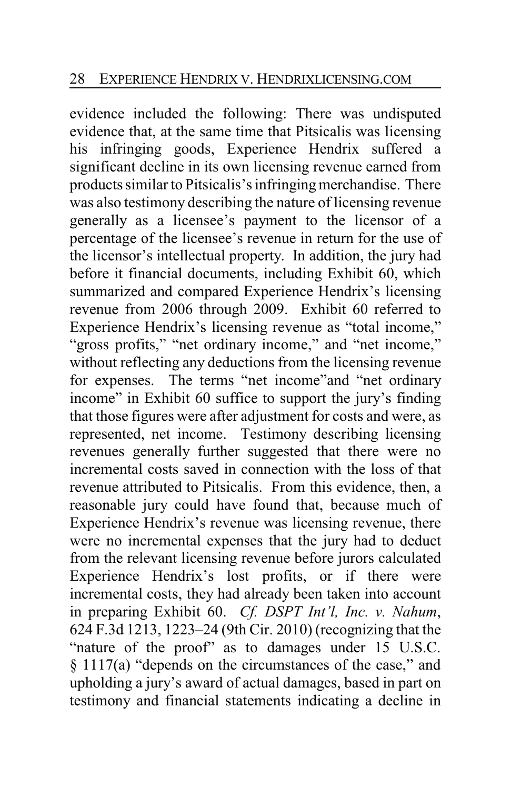evidence included the following: There was undisputed evidence that, at the same time that Pitsicalis was licensing his infringing goods, Experience Hendrix suffered a significant decline in its own licensing revenue earned from products similar to Pitsicalis's infringing merchandise. There was also testimony describing the nature of licensing revenue generally as a licensee's payment to the licensor of a percentage of the licensee's revenue in return for the use of the licensor's intellectual property. In addition, the jury had before it financial documents, including Exhibit 60, which summarized and compared Experience Hendrix's licensing revenue from 2006 through 2009. Exhibit 60 referred to Experience Hendrix's licensing revenue as "total income," "gross profits," "net ordinary income," and "net income," without reflecting any deductions from the licensing revenue for expenses. The terms "net income"and "net ordinary income" in Exhibit 60 suffice to support the jury's finding that those figures were after adjustment for costs and were, as represented, net income. Testimony describing licensing revenues generally further suggested that there were no incremental costs saved in connection with the loss of that revenue attributed to Pitsicalis. From this evidence, then, a reasonable jury could have found that, because much of Experience Hendrix's revenue was licensing revenue, there were no incremental expenses that the jury had to deduct from the relevant licensing revenue before jurors calculated Experience Hendrix's lost profits, or if there were incremental costs, they had already been taken into account in preparing Exhibit 60. *Cf. DSPT Int'l, Inc. v. Nahum*, 624 F.3d 1213, 1223–24 (9th Cir. 2010) (recognizing that the "nature of the proof" as to damages under 15 U.S.C. § 1117(a) "depends on the circumstances of the case," and upholding a jury's award of actual damages, based in part on testimony and financial statements indicating a decline in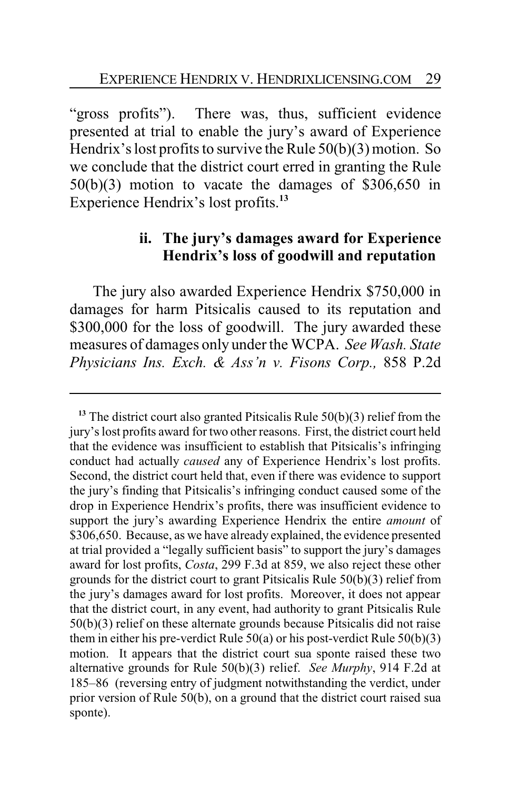"gross profits"). There was, thus, sufficient evidence presented at trial to enable the jury's award of Experience Hendrix's lost profits to survive the Rule 50(b)(3) motion. So we conclude that the district court erred in granting the Rule 50(b)(3) motion to vacate the damages of \$306,650 in Experience Hendrix's lost profits.**<sup>13</sup>**

# **ii. The jury's damages award for Experience Hendrix's loss of goodwill and reputation**

The jury also awarded Experience Hendrix \$750,000 in damages for harm Pitsicalis caused to its reputation and \$300,000 for the loss of goodwill. The jury awarded these measures of damages only under the WCPA. *See Wash. State Physicians Ins. Exch. & Ass'n v. Fisons Corp.,* 858 P.2d

**<sup>13</sup>** The district court also granted Pitsicalis Rule 50(b)(3) relief from the jury's lost profits award for two other reasons. First, the district court held that the evidence was insufficient to establish that Pitsicalis's infringing conduct had actually *caused* any of Experience Hendrix's lost profits. Second, the district court held that, even if there was evidence to support the jury's finding that Pitsicalis's infringing conduct caused some of the drop in Experience Hendrix's profits, there was insufficient evidence to support the jury's awarding Experience Hendrix the entire *amount* of \$306,650. Because, as we have already explained, the evidence presented at trial provided a "legally sufficient basis" to support the jury's damages award for lost profits, *Costa*, 299 F.3d at 859, we also reject these other grounds for the district court to grant Pitsicalis Rule 50(b)(3) relief from the jury's damages award for lost profits. Moreover, it does not appear that the district court, in any event, had authority to grant Pitsicalis Rule 50(b)(3) relief on these alternate grounds because Pitsicalis did not raise them in either his pre-verdict Rule  $50(a)$  or his post-verdict Rule  $50(b)(3)$ motion. It appears that the district court sua sponte raised these two alternative grounds for Rule 50(b)(3) relief. *See Murphy*, 914 F.2d at 185–86 (reversing entry of judgment notwithstanding the verdict, under prior version of Rule 50(b), on a ground that the district court raised sua sponte).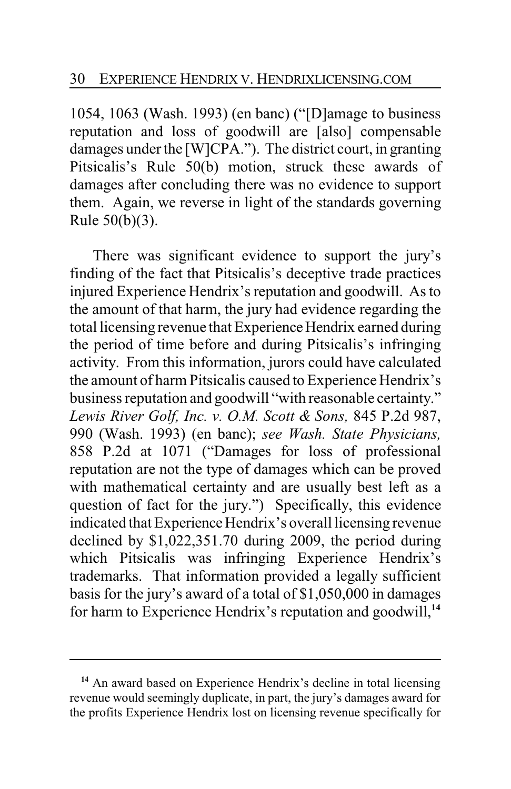1054, 1063 (Wash. 1993) (en banc) ("[D]amage to business reputation and loss of goodwill are [also] compensable damages under the [W]CPA."). The district court, in granting Pitsicalis's Rule 50(b) motion, struck these awards of damages after concluding there was no evidence to support them. Again, we reverse in light of the standards governing Rule 50(b)(3).

There was significant evidence to support the jury's finding of the fact that Pitsicalis's deceptive trade practices injured Experience Hendrix's reputation and goodwill. As to the amount of that harm, the jury had evidence regarding the total licensing revenue that Experience Hendrix earned during the period of time before and during Pitsicalis's infringing activity. From this information, jurors could have calculated the amount of harm Pitsicalis caused to Experience Hendrix's business reputation and goodwill "with reasonable certainty." *Lewis River Golf, Inc. v. O.M. Scott & Sons,* 845 P.2d 987, 990 (Wash. 1993) (en banc); *see Wash. State Physicians,* 858 P.2d at 1071 ("Damages for loss of professional reputation are not the type of damages which can be proved with mathematical certainty and are usually best left as a question of fact for the jury.") Specifically, this evidence indicated that Experience Hendrix's overall licensing revenue declined by \$1,022,351.70 during 2009, the period during which Pitsicalis was infringing Experience Hendrix's trademarks. That information provided a legally sufficient basis for the jury's award of a total of \$1,050,000 in damages for harm to Experience Hendrix's reputation and goodwill,**<sup>14</sup>**

<sup>&</sup>lt;sup>14</sup> An award based on Experience Hendrix's decline in total licensing revenue would seemingly duplicate, in part, the jury's damages award for the profits Experience Hendrix lost on licensing revenue specifically for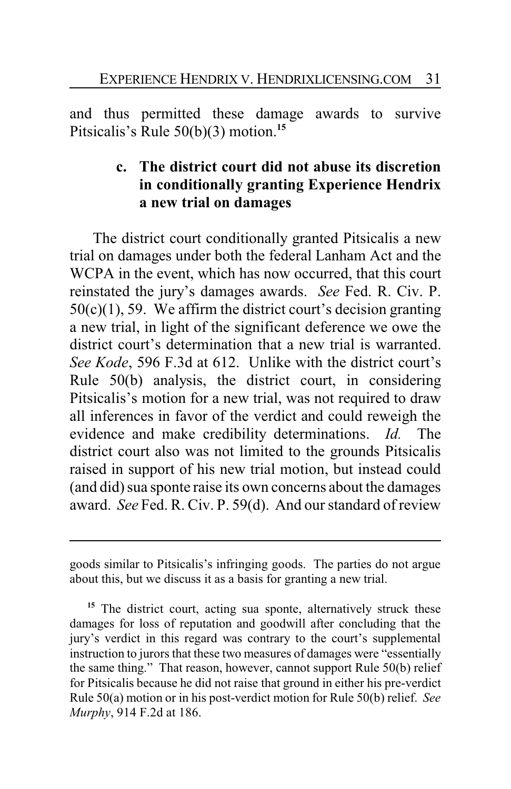and thus permitted these damage awards to survive Pitsicalis's Rule 50(b)(3) motion.**<sup>15</sup>**

# **c. The district court did not abuse its discretion in conditionally granting Experience Hendrix a new trial on damages**

The district court conditionally granted Pitsicalis a new trial on damages under both the federal Lanham Act and the WCPA in the event, which has now occurred, that this court reinstated the jury's damages awards. *See* Fed. R. Civ. P.  $50(c)(1)$ , 59. We affirm the district court's decision granting a new trial, in light of the significant deference we owe the district court's determination that a new trial is warranted. *See Kode*, 596 F.3d at 612. Unlike with the district court's Rule 50(b) analysis, the district court, in considering Pitsicalis's motion for a new trial, was not required to draw all inferences in favor of the verdict and could reweigh the evidence and make credibility determinations. *Id.* The district court also was not limited to the grounds Pitsicalis raised in support of his new trial motion, but instead could (and did) sua sponte raise its own concerns about the damages award. *See* Fed. R. Civ. P. 59(d). And our standard of review

goods similar to Pitsicalis's infringing goods. The parties do not argue about this, but we discuss it as a basis for granting a new trial.

<sup>15</sup> The district court, acting sua sponte, alternatively struck these damages for loss of reputation and goodwill after concluding that the jury's verdict in this regard was contrary to the court's supplemental instruction to jurors that these two measures of damages were "essentially the same thing." That reason, however, cannot support Rule 50(b) relief for Pitsicalis because he did not raise that ground in either his pre-verdict Rule 50(a) motion or in his post-verdict motion for Rule 50(b) relief. *See Murphy*, 914 F.2d at 186.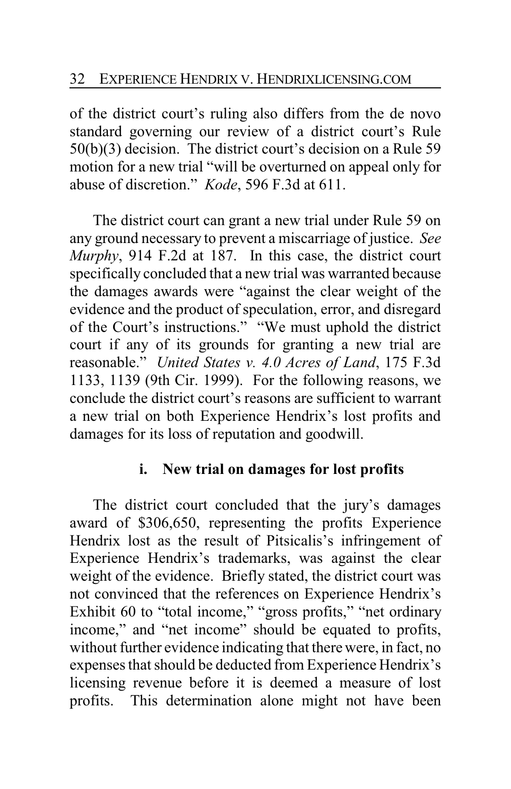of the district court's ruling also differs from the de novo standard governing our review of a district court's Rule 50(b)(3) decision. The district court's decision on a Rule 59 motion for a new trial "will be overturned on appeal only for abuse of discretion." *Kode*, 596 F.3d at 611.

The district court can grant a new trial under Rule 59 on any ground necessary to prevent a miscarriage of justice. *See Murphy*, 914 F.2d at 187. In this case, the district court specifically concluded that a new trial was warranted because the damages awards were "against the clear weight of the evidence and the product of speculation, error, and disregard of the Court's instructions." "We must uphold the district court if any of its grounds for granting a new trial are reasonable." *United States v. 4.0 Acres of Land*, 175 F.3d 1133, 1139 (9th Cir. 1999). For the following reasons, we conclude the district court's reasons are sufficient to warrant a new trial on both Experience Hendrix's lost profits and damages for its loss of reputation and goodwill.

# **i. New trial on damages for lost profits**

The district court concluded that the jury's damages award of \$306,650, representing the profits Experience Hendrix lost as the result of Pitsicalis's infringement of Experience Hendrix's trademarks, was against the clear weight of the evidence. Briefly stated, the district court was not convinced that the references on Experience Hendrix's Exhibit 60 to "total income," "gross profits," "net ordinary income," and "net income" should be equated to profits, without further evidence indicating that there were, in fact, no expenses that should be deducted from Experience Hendrix's licensing revenue before it is deemed a measure of lost profits. This determination alone might not have been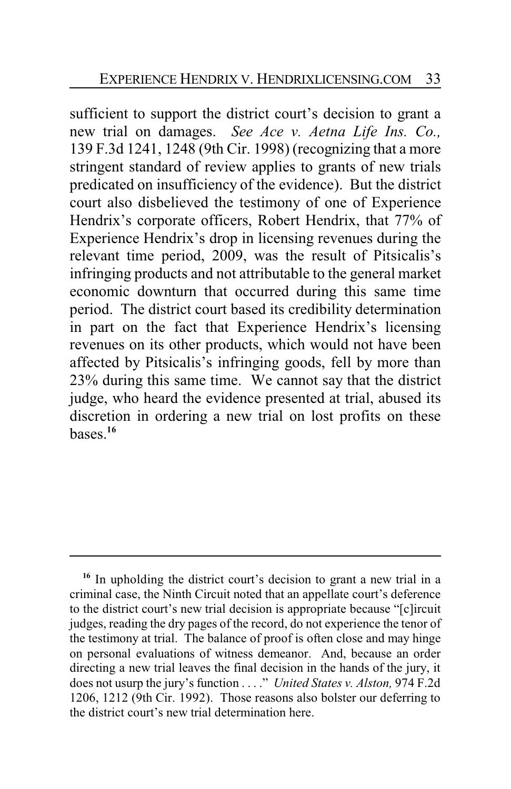sufficient to support the district court's decision to grant a new trial on damages. *See Ace v. Aetna Life Ins. Co.,* 139 F.3d 1241, 1248 (9th Cir. 1998) (recognizing that a more stringent standard of review applies to grants of new trials predicated on insufficiency of the evidence). But the district court also disbelieved the testimony of one of Experience Hendrix's corporate officers, Robert Hendrix, that 77% of Experience Hendrix's drop in licensing revenues during the relevant time period, 2009, was the result of Pitsicalis's infringing products and not attributable to the general market economic downturn that occurred during this same time period. The district court based its credibility determination in part on the fact that Experience Hendrix's licensing revenues on its other products, which would not have been affected by Pitsicalis's infringing goods, fell by more than 23% during this same time. We cannot say that the district judge, who heard the evidence presented at trial, abused its discretion in ordering a new trial on lost profits on these  $h$ ases<sup> $16$ </sup>

<sup>&</sup>lt;sup>16</sup> In upholding the district court's decision to grant a new trial in a criminal case, the Ninth Circuit noted that an appellate court's deference to the district court's new trial decision is appropriate because "[c]ircuit judges, reading the dry pages of the record, do not experience the tenor of the testimony at trial. The balance of proof is often close and may hinge on personal evaluations of witness demeanor. And, because an order directing a new trial leaves the final decision in the hands of the jury, it does not usurp the jury's function . . . ." *United States v. Alston,* 974 F.2d 1206, 1212 (9th Cir. 1992). Those reasons also bolster our deferring to the district court's new trial determination here.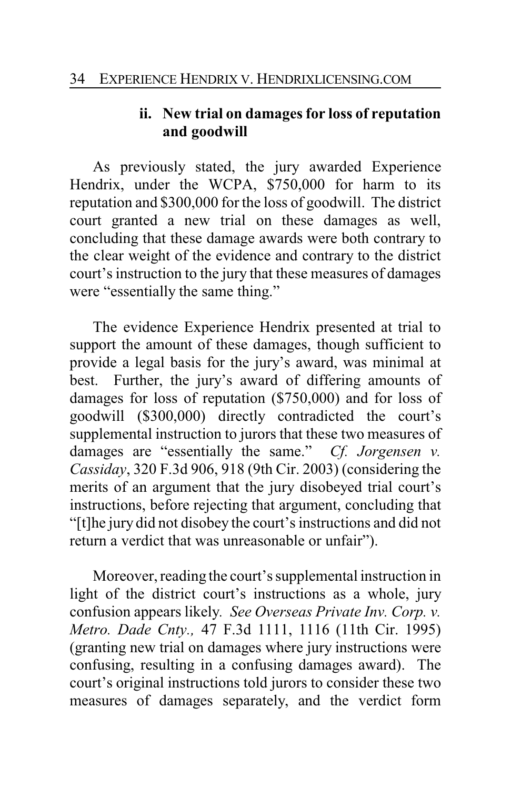# **ii. New trial on damages for loss of reputation and goodwill**

As previously stated, the jury awarded Experience Hendrix, under the WCPA, \$750,000 for harm to its reputation and \$300,000 for the loss of goodwill. The district court granted a new trial on these damages as well, concluding that these damage awards were both contrary to the clear weight of the evidence and contrary to the district court's instruction to the jury that these measures of damages were "essentially the same thing."

The evidence Experience Hendrix presented at trial to support the amount of these damages, though sufficient to provide a legal basis for the jury's award, was minimal at best. Further, the jury's award of differing amounts of damages for loss of reputation (\$750,000) and for loss of goodwill (\$300,000) directly contradicted the court's supplemental instruction to jurors that these two measures of damages are "essentially the same." *Cf. Jorgensen v. Cassiday*, 320 F.3d 906, 918 (9th Cir. 2003) (considering the merits of an argument that the jury disobeyed trial court's instructions, before rejecting that argument, concluding that "[t]he jury did not disobey the court's instructions and did not return a verdict that was unreasonable or unfair").

Moreover, reading the court's supplemental instruction in light of the district court's instructions as a whole, jury confusion appears likely*. See Overseas Private Inv. Corp. v. Metro. Dade Cnty.,* 47 F.3d 1111, 1116 (11th Cir. 1995) (granting new trial on damages where jury instructions were confusing, resulting in a confusing damages award). The court's original instructions told jurors to consider these two measures of damages separately, and the verdict form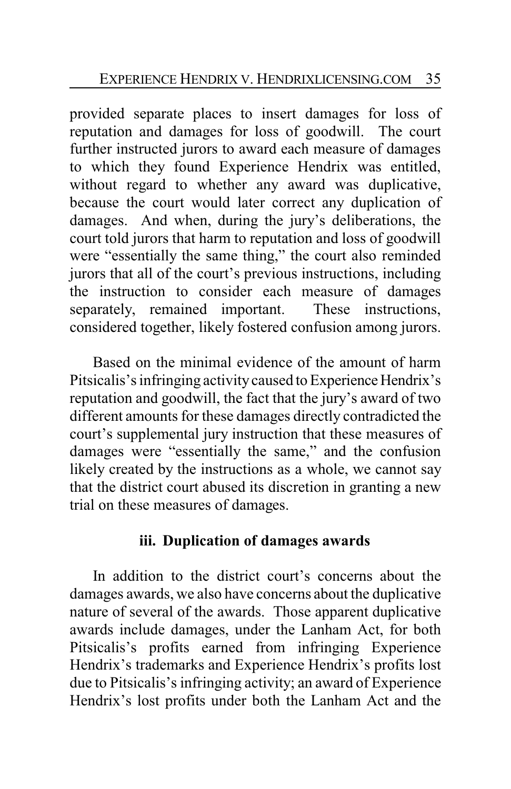provided separate places to insert damages for loss of reputation and damages for loss of goodwill. The court further instructed jurors to award each measure of damages to which they found Experience Hendrix was entitled, without regard to whether any award was duplicative, because the court would later correct any duplication of damages. And when, during the jury's deliberations, the court told jurors that harm to reputation and loss of goodwill were "essentially the same thing," the court also reminded jurors that all of the court's previous instructions, including the instruction to consider each measure of damages separately, remained important. These instructions, considered together, likely fostered confusion among jurors.

Based on the minimal evidence of the amount of harm Pitsicalis's infringing activity caused to Experience Hendrix's reputation and goodwill, the fact that the jury's award of two different amounts for these damages directly contradicted the court's supplemental jury instruction that these measures of damages were "essentially the same," and the confusion likely created by the instructions as a whole, we cannot say that the district court abused its discretion in granting a new trial on these measures of damages.

## **iii. Duplication of damages awards**

In addition to the district court's concerns about the damages awards, we also have concerns about the duplicative nature of several of the awards. Those apparent duplicative awards include damages, under the Lanham Act, for both Pitsicalis's profits earned from infringing Experience Hendrix's trademarks and Experience Hendrix's profits lost due to Pitsicalis's infringing activity; an award of Experience Hendrix's lost profits under both the Lanham Act and the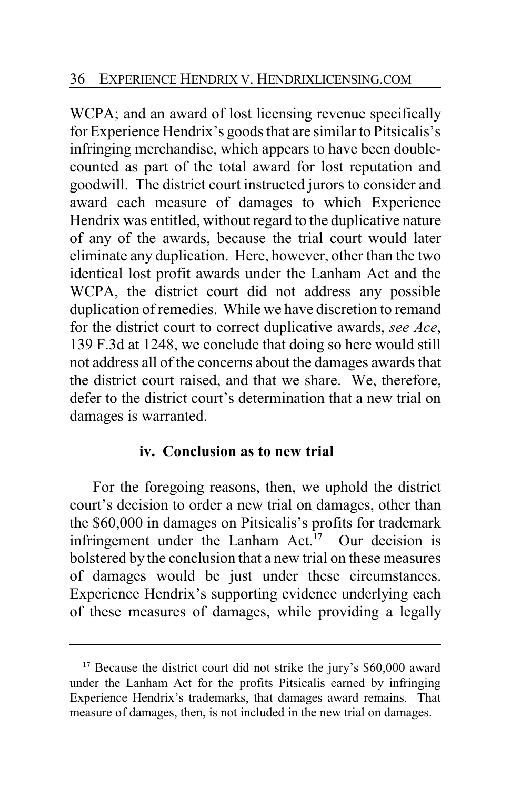WCPA; and an award of lost licensing revenue specifically for Experience Hendrix's goods that are similar to Pitsicalis's infringing merchandise, which appears to have been doublecounted as part of the total award for lost reputation and goodwill. The district court instructed jurors to consider and award each measure of damages to which Experience Hendrix was entitled, without regard to the duplicative nature of any of the awards, because the trial court would later eliminate any duplication. Here, however, other than the two identical lost profit awards under the Lanham Act and the WCPA, the district court did not address any possible duplication of remedies. While we have discretion to remand for the district court to correct duplicative awards, *see Ace*, 139 F.3d at 1248, we conclude that doing so here would still not address all of the concerns about the damages awards that the district court raised, and that we share. We, therefore, defer to the district court's determination that a new trial on damages is warranted.

## **iv. Conclusion as to new trial**

For the foregoing reasons, then, we uphold the district court's decision to order a new trial on damages, other than the \$60,000 in damages on Pitsicalis's profits for trademark infringement under the Lanham Act.**<sup>17</sup>** Our decision is bolstered by the conclusion that a new trial on these measures of damages would be just under these circumstances. Experience Hendrix's supporting evidence underlying each of these measures of damages, while providing a legally

<sup>&</sup>lt;sup>17</sup> Because the district court did not strike the jury's \$60,000 award under the Lanham Act for the profits Pitsicalis earned by infringing Experience Hendrix's trademarks, that damages award remains. That measure of damages, then, is not included in the new trial on damages.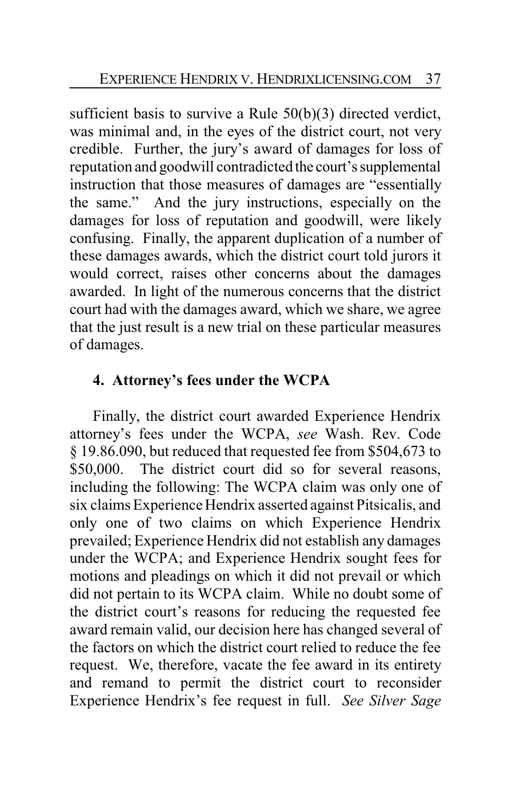sufficient basis to survive a Rule 50(b)(3) directed verdict, was minimal and, in the eyes of the district court, not very credible. Further, the jury's award of damages for loss of reputation and goodwill contradicted the court's supplemental instruction that those measures of damages are "essentially the same." And the jury instructions, especially on the damages for loss of reputation and goodwill, were likely confusing. Finally, the apparent duplication of a number of these damages awards, which the district court told jurors it would correct, raises other concerns about the damages awarded. In light of the numerous concerns that the district court had with the damages award, which we share, we agree that the just result is a new trial on these particular measures of damages.

# **4. Attorney's fees under the WCPA**

Finally, the district court awarded Experience Hendrix attorney's fees under the WCPA, *see* Wash. Rev. Code § 19.86.090, but reduced that requested fee from \$504,673 to \$50,000. The district court did so for several reasons, including the following: The WCPA claim was only one of six claims Experience Hendrix asserted against Pitsicalis, and only one of two claims on which Experience Hendrix prevailed; Experience Hendrix did not establish any damages under the WCPA; and Experience Hendrix sought fees for motions and pleadings on which it did not prevail or which did not pertain to its WCPA claim. While no doubt some of the district court's reasons for reducing the requested fee award remain valid, our decision here has changed several of the factors on which the district court relied to reduce the fee request. We, therefore, vacate the fee award in its entirety and remand to permit the district court to reconsider Experience Hendrix's fee request in full. *See Silver Sage*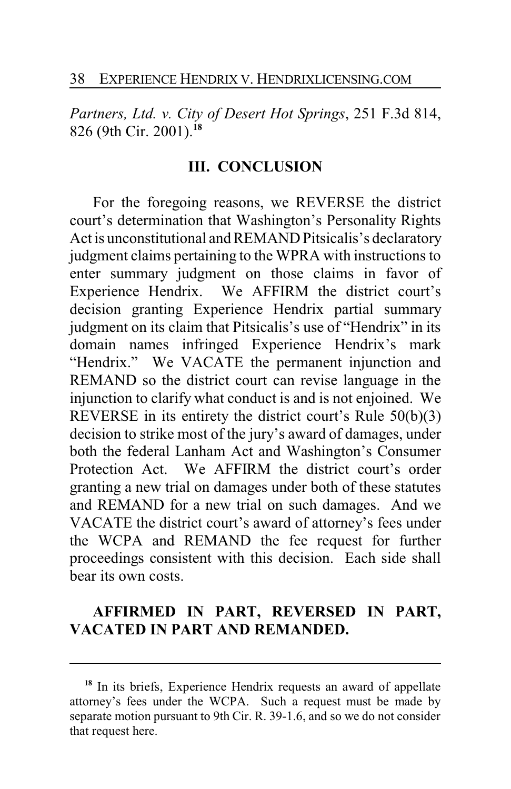*Partners, Ltd. v. City of Desert Hot Springs*, 251 F.3d 814, 826 (9th Cir. 2001).**<sup>18</sup>**

#### **III. CONCLUSION**

For the foregoing reasons, we REVERSE the district court's determination that Washington's Personality Rights Act is unconstitutional and REMAND Pitsicalis's declaratory judgment claims pertaining to the WPRA with instructions to enter summary judgment on those claims in favor of Experience Hendrix. We AFFIRM the district court's decision granting Experience Hendrix partial summary judgment on its claim that Pitsicalis's use of "Hendrix" in its domain names infringed Experience Hendrix's mark "Hendrix." We VACATE the permanent injunction and REMAND so the district court can revise language in the injunction to clarify what conduct is and is not enjoined. We REVERSE in its entirety the district court's Rule 50(b)(3) decision to strike most of the jury's award of damages, under both the federal Lanham Act and Washington's Consumer Protection Act. We AFFIRM the district court's order granting a new trial on damages under both of these statutes and REMAND for a new trial on such damages. And we VACATE the district court's award of attorney's fees under the WCPA and REMAND the fee request for further proceedings consistent with this decision. Each side shall bear its own costs.

# **AFFIRMED IN PART, REVERSED IN PART, VACATED IN PART AND REMANDED.**

<sup>&</sup>lt;sup>18</sup> In its briefs, Experience Hendrix requests an award of appellate attorney's fees under the WCPA. Such a request must be made by separate motion pursuant to 9th Cir. R. 39-1.6, and so we do not consider that request here.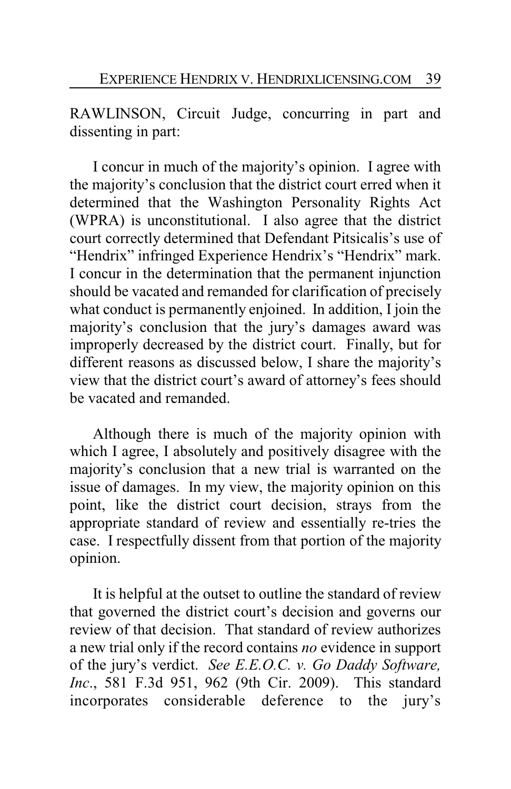RAWLINSON, Circuit Judge, concurring in part and dissenting in part:

I concur in much of the majority's opinion. I agree with the majority's conclusion that the district court erred when it determined that the Washington Personality Rights Act (WPRA) is unconstitutional. I also agree that the district court correctly determined that Defendant Pitsicalis's use of "Hendrix" infringed Experience Hendrix's "Hendrix" mark. I concur in the determination that the permanent injunction should be vacated and remanded for clarification of precisely what conduct is permanently enjoined. In addition, I join the majority's conclusion that the jury's damages award was improperly decreased by the district court. Finally, but for different reasons as discussed below, I share the majority's view that the district court's award of attorney's fees should be vacated and remanded.

Although there is much of the majority opinion with which I agree, I absolutely and positively disagree with the majority's conclusion that a new trial is warranted on the issue of damages. In my view, the majority opinion on this point, like the district court decision, strays from the appropriate standard of review and essentially re-tries the case. I respectfully dissent from that portion of the majority opinion.

It is helpful at the outset to outline the standard of review that governed the district court's decision and governs our review of that decision. That standard of review authorizes a new trial only if the record contains *no* evidence in support of the jury's verdict. *See E.E.O.C. v. Go Daddy Software, Inc*., 581 F.3d 951, 962 (9th Cir. 2009). This standard incorporates considerable deference to the jury's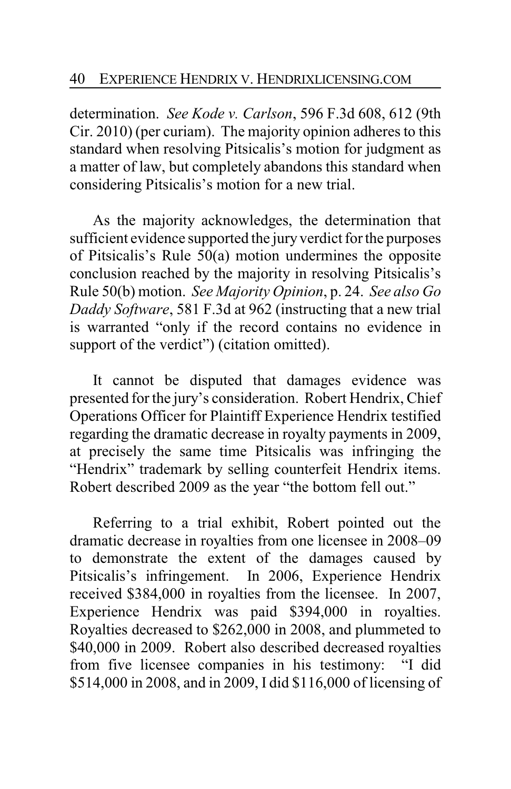determination. *See Kode v. Carlson*, 596 F.3d 608, 612 (9th Cir. 2010) (per curiam). The majority opinion adheres to this standard when resolving Pitsicalis's motion for judgment as a matter of law, but completely abandons this standard when considering Pitsicalis's motion for a new trial.

As the majority acknowledges, the determination that sufficient evidence supported the jury verdict for the purposes of Pitsicalis's Rule 50(a) motion undermines the opposite conclusion reached by the majority in resolving Pitsicalis's Rule 50(b) motion. *See Majority Opinion*, p. 24. *See also Go Daddy Software*, 581 F.3d at 962 (instructing that a new trial is warranted "only if the record contains no evidence in support of the verdict") (citation omitted).

It cannot be disputed that damages evidence was presented for the jury's consideration. Robert Hendrix, Chief Operations Officer for Plaintiff Experience Hendrix testified regarding the dramatic decrease in royalty payments in 2009, at precisely the same time Pitsicalis was infringing the "Hendrix" trademark by selling counterfeit Hendrix items. Robert described 2009 as the year "the bottom fell out."

Referring to a trial exhibit, Robert pointed out the dramatic decrease in royalties from one licensee in 2008–09 to demonstrate the extent of the damages caused by Pitsicalis's infringement. In 2006, Experience Hendrix received \$384,000 in royalties from the licensee. In 2007, Experience Hendrix was paid \$394,000 in royalties. Royalties decreased to \$262,000 in 2008, and plummeted to \$40,000 in 2009. Robert also described decreased royalties from five licensee companies in his testimony: "I did \$514,000 in 2008, and in 2009, I did \$116,000 of licensing of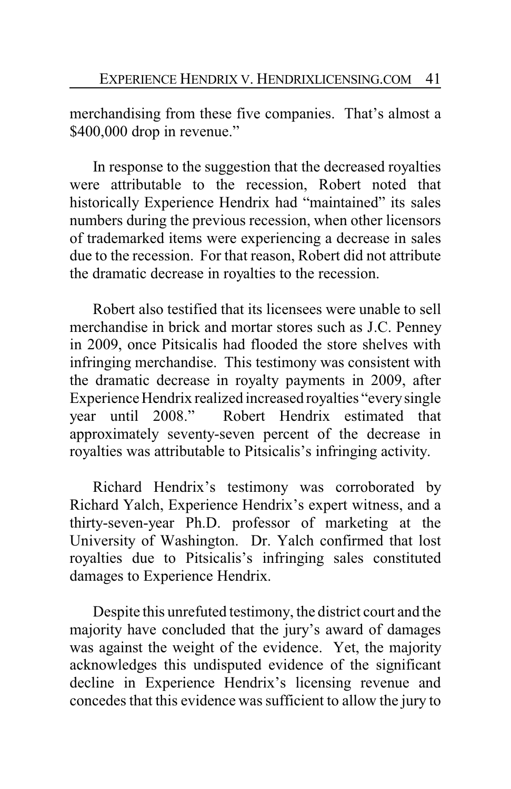merchandising from these five companies. That's almost a \$400,000 drop in revenue."

In response to the suggestion that the decreased royalties were attributable to the recession, Robert noted that historically Experience Hendrix had "maintained" its sales numbers during the previous recession, when other licensors of trademarked items were experiencing a decrease in sales due to the recession. For that reason, Robert did not attribute the dramatic decrease in royalties to the recession.

Robert also testified that its licensees were unable to sell merchandise in brick and mortar stores such as J.C. Penney in 2009, once Pitsicalis had flooded the store shelves with infringing merchandise. This testimony was consistent with the dramatic decrease in royalty payments in 2009, after Experience Hendrix realized increased royalties "everysingle year until 2008." Robert Hendrix estimated that approximately seventy-seven percent of the decrease in royalties was attributable to Pitsicalis's infringing activity.

Richard Hendrix's testimony was corroborated by Richard Yalch, Experience Hendrix's expert witness, and a thirty-seven-year Ph.D. professor of marketing at the University of Washington. Dr. Yalch confirmed that lost royalties due to Pitsicalis's infringing sales constituted damages to Experience Hendrix.

Despite this unrefuted testimony, the district court and the majority have concluded that the jury's award of damages was against the weight of the evidence. Yet, the majority acknowledges this undisputed evidence of the significant decline in Experience Hendrix's licensing revenue and concedes that this evidence was sufficient to allow the jury to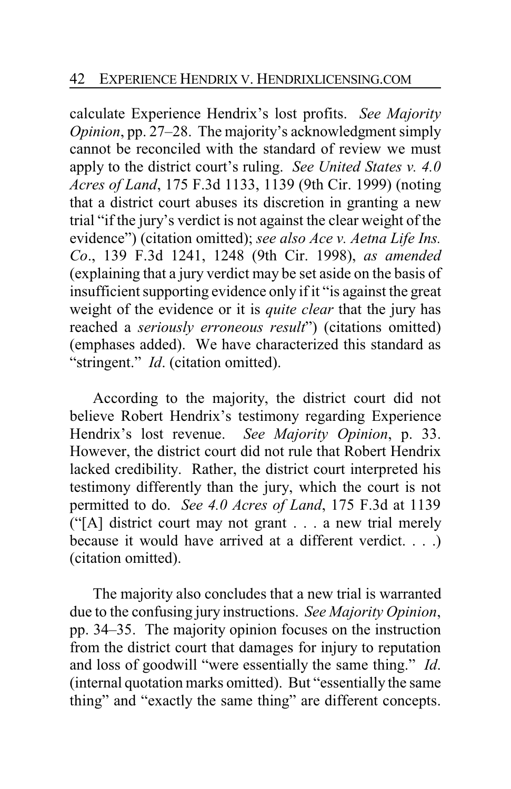calculate Experience Hendrix's lost profits. *See Majority Opinion*, pp. 27–28. The majority's acknowledgment simply cannot be reconciled with the standard of review we must apply to the district court's ruling. *See United States v. 4.0 Acres of Land*, 175 F.3d 1133, 1139 (9th Cir. 1999) (noting that a district court abuses its discretion in granting a new trial "if the jury's verdict is not against the clear weight of the evidence") (citation omitted); *see also Ace v. Aetna Life Ins. Co*., 139 F.3d 1241, 1248 (9th Cir. 1998), *as amended* (explaining that a jury verdict may be set aside on the basis of insufficient supporting evidence only if it "is against the great weight of the evidence or it is *quite clear* that the jury has reached a *seriously erroneous result*") (citations omitted) (emphases added). We have characterized this standard as "stringent." *Id*. (citation omitted).

According to the majority, the district court did not believe Robert Hendrix's testimony regarding Experience Hendrix's lost revenue. *See Majority Opinion*, p. 33. However, the district court did not rule that Robert Hendrix lacked credibility. Rather, the district court interpreted his testimony differently than the jury, which the court is not permitted to do. *See 4.0 Acres of Land*, 175 F.3d at 1139 ("[A] district court may not grant . . . a new trial merely because it would have arrived at a different verdict. . . .) (citation omitted).

The majority also concludes that a new trial is warranted due to the confusing jury instructions. *See Majority Opinion*, pp. 34–35. The majority opinion focuses on the instruction from the district court that damages for injury to reputation and loss of goodwill "were essentially the same thing." *Id*. (internal quotation marks omitted). But "essentially the same thing" and "exactly the same thing" are different concepts.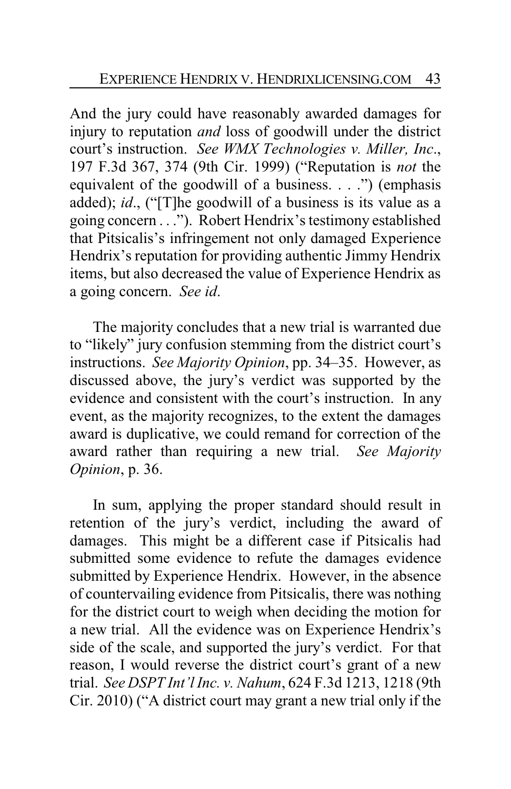And the jury could have reasonably awarded damages for injury to reputation *and* loss of goodwill under the district court's instruction. *See WMX Technologies v. Miller, Inc*., 197 F.3d 367, 374 (9th Cir. 1999) ("Reputation is *not* the equivalent of the goodwill of a business. . . .") (emphasis added); *id*., ("[T]he goodwill of a business is its value as a going concern . . ."). Robert Hendrix's testimony established that Pitsicalis's infringement not only damaged Experience Hendrix's reputation for providing authentic Jimmy Hendrix items, but also decreased the value of Experience Hendrix as a going concern. *See id*.

The majority concludes that a new trial is warranted due to "likely" jury confusion stemming from the district court's instructions. *See Majority Opinion*, pp. 34–35. However, as discussed above, the jury's verdict was supported by the evidence and consistent with the court's instruction. In any event, as the majority recognizes, to the extent the damages award is duplicative, we could remand for correction of the award rather than requiring a new trial. *See Majority Opinion*, p. 36.

In sum, applying the proper standard should result in retention of the jury's verdict, including the award of damages. This might be a different case if Pitsicalis had submitted some evidence to refute the damages evidence submitted by Experience Hendrix. However, in the absence of countervailing evidence from Pitsicalis, there was nothing for the district court to weigh when deciding the motion for a new trial. All the evidence was on Experience Hendrix's side of the scale, and supported the jury's verdict. For that reason, I would reverse the district court's grant of a new trial. *See DSPT Int'l Inc. v. Nahum*, 624 F.3d 1213, 1218 (9th Cir. 2010) ("A district court may grant a new trial only if the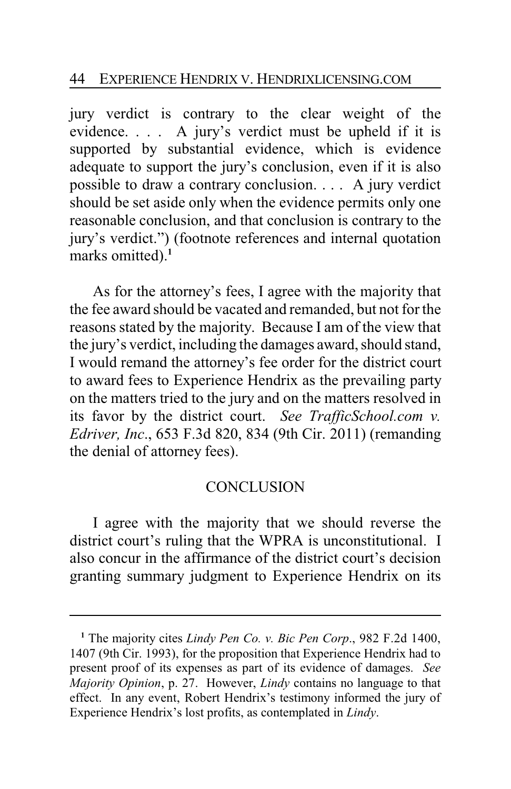jury verdict is contrary to the clear weight of the evidence. . . . A jury's verdict must be upheld if it is supported by substantial evidence, which is evidence adequate to support the jury's conclusion, even if it is also possible to draw a contrary conclusion. . . . A jury verdict should be set aside only when the evidence permits only one reasonable conclusion, and that conclusion is contrary to the jury's verdict.") (footnote references and internal quotation marks omitted).<sup>1</sup>

As for the attorney's fees, I agree with the majority that the fee award should be vacated and remanded, but not for the reasons stated by the majority. Because I am of the view that the jury's verdict, including the damages award, should stand, I would remand the attorney's fee order for the district court to award fees to Experience Hendrix as the prevailing party on the matters tried to the jury and on the matters resolved in its favor by the district court. *See TrafficSchool.com v. Edriver, Inc*., 653 F.3d 820, 834 (9th Cir. 2011) (remanding the denial of attorney fees).

## **CONCLUSION**

I agree with the majority that we should reverse the district court's ruling that the WPRA is unconstitutional. I also concur in the affirmance of the district court's decision granting summary judgment to Experience Hendrix on its

**<sup>1</sup>** The majority cites *Lindy Pen Co. v. Bic Pen Corp*., 982 F.2d 1400, 1407 (9th Cir. 1993), for the proposition that Experience Hendrix had to present proof of its expenses as part of its evidence of damages. *See Majority Opinion*, p. 27. However, *Lindy* contains no language to that effect. In any event, Robert Hendrix's testimony informed the jury of Experience Hendrix's lost profits, as contemplated in *Lindy*.